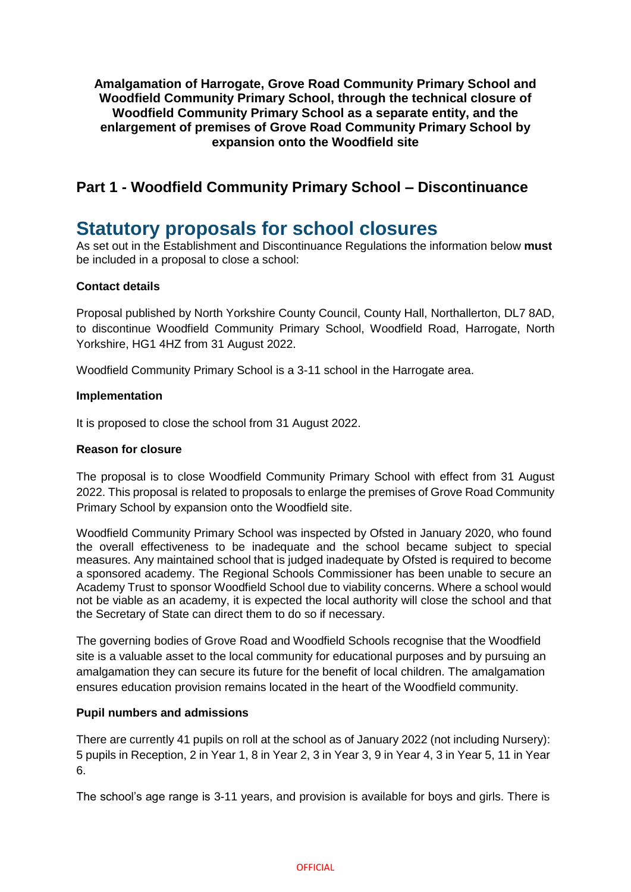**Amalgamation of Harrogate, Grove Road Community Primary School and Woodfield Community Primary School, through the technical closure of Woodfield Community Primary School as a separate entity, and the enlargement of premises of Grove Road Community Primary School by expansion onto the Woodfield site**

# **Part 1 - Woodfield Community Primary School – Discontinuance**

# **Statutory proposals for school closures**

As set out in the Establishment and Discontinuance Regulations the information below **must**  be included in a proposal to close a school:

# **Contact details**

Proposal published by North Yorkshire County Council, County Hall, Northallerton, DL7 8AD, to discontinue Woodfield Community Primary School, Woodfield Road, Harrogate, North Yorkshire, HG1 4HZ from 31 August 2022.

Woodfield Community Primary School is a 3-11 school in the Harrogate area.

#### **Implementation**

It is proposed to close the school from 31 August 2022.

#### **Reason for closure**

The proposal is to close Woodfield Community Primary School with effect from 31 August 2022. This proposal is related to proposals to enlarge the premises of Grove Road Community Primary School by expansion onto the Woodfield site.

Woodfield Community Primary School was inspected by Ofsted in January 2020, who found the overall effectiveness to be inadequate and the school became subject to special measures. Any maintained school that is judged inadequate by Ofsted is required to become a sponsored academy. The Regional Schools Commissioner has been unable to secure an Academy Trust to sponsor Woodfield School due to viability concerns. Where a school would not be viable as an academy, it is expected the local authority will close the school and that the Secretary of State can direct them to do so if necessary.

The governing bodies of Grove Road and Woodfield Schools recognise that the Woodfield site is a valuable asset to the local community for educational purposes and by pursuing an amalgamation they can secure its future for the benefit of local children. The amalgamation ensures education provision remains located in the heart of the Woodfield community.

#### **Pupil numbers and admissions**

There are currently 41 pupils on roll at the school as of January 2022 (not including Nursery): 5 pupils in Reception, 2 in Year 1, 8 in Year 2, 3 in Year 3, 9 in Year 4, 3 in Year 5, 11 in Year 6.

The school's age range is 3-11 years, and provision is available for boys and girls. There is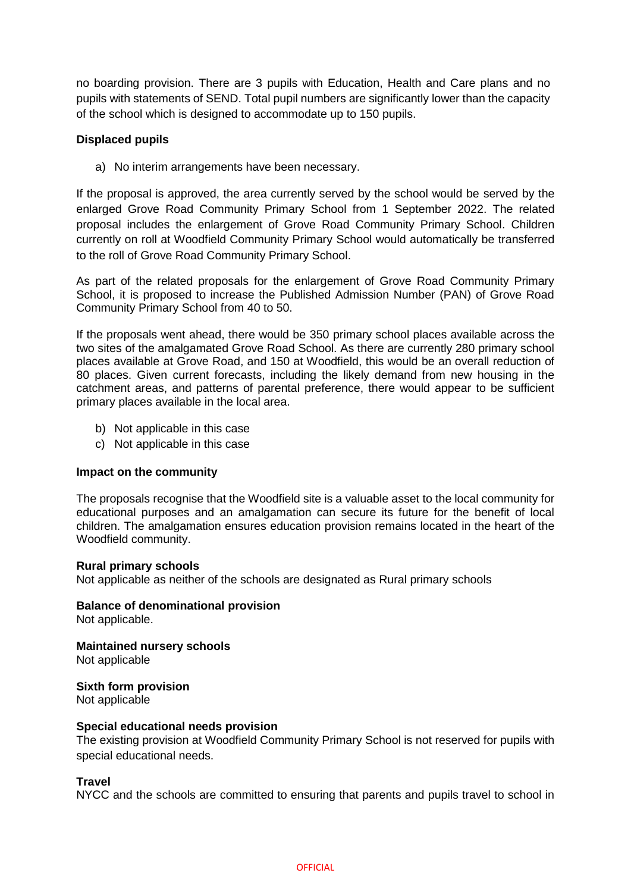no boarding provision. There are 3 pupils with Education, Health and Care plans and no pupils with statements of SEND. Total pupil numbers are significantly lower than the capacity of the school which is designed to accommodate up to 150 pupils.

#### **Displaced pupils**

a) No interim arrangements have been necessary.

If the proposal is approved, the area currently served by the school would be served by the enlarged Grove Road Community Primary School from 1 September 2022. The related proposal includes the enlargement of Grove Road Community Primary School. Children currently on roll at Woodfield Community Primary School would automatically be transferred to the roll of Grove Road Community Primary School.

As part of the related proposals for the enlargement of Grove Road Community Primary School, it is proposed to increase the Published Admission Number (PAN) of Grove Road Community Primary School from 40 to 50.

If the proposals went ahead, there would be 350 primary school places available across the two sites of the amalgamated Grove Road School. As there are currently 280 primary school places available at Grove Road, and 150 at Woodfield, this would be an overall reduction of 80 places. Given current forecasts, including the likely demand from new housing in the catchment areas, and patterns of parental preference, there would appear to be sufficient primary places available in the local area.

- b) Not applicable in this case
- c) Not applicable in this case

#### **Impact on the community**

The proposals recognise that the Woodfield site is a valuable asset to the local community for educational purposes and an amalgamation can secure its future for the benefit of local children. The amalgamation ensures education provision remains located in the heart of the Woodfield community.

#### **Rural primary schools**

Not applicable as neither of the schools are designated as Rural primary schools

**Balance of denominational provision**  Not applicable.

**Maintained nursery schools**  Not applicable

**Sixth form provision**  Not applicable

#### **Special educational needs provision**

The existing provision at Woodfield Community Primary School is not reserved for pupils with special educational needs.

#### **Travel**

NYCC and the schools are committed to ensuring that parents and pupils travel to school in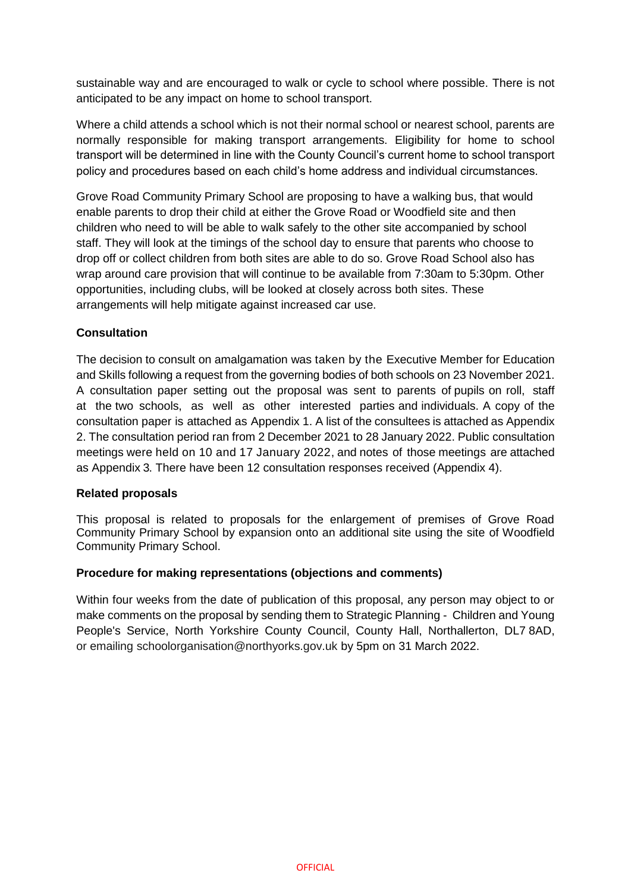sustainable way and are encouraged to walk or cycle to school where possible. There is not anticipated to be any impact on home to school transport.

Where a child attends a school which is not their normal school or nearest school, parents are normally responsible for making transport arrangements. Eligibility for home to school transport will be determined in line with the County Council's current home to school transport policy and procedures based on each child's home address and individual circumstances.

Grove Road Community Primary School are proposing to have a walking bus, that would enable parents to drop their child at either the Grove Road or Woodfield site and then children who need to will be able to walk safely to the other site accompanied by school staff. They will look at the timings of the school day to ensure that parents who choose to drop off or collect children from both sites are able to do so. Grove Road School also has wrap around care provision that will continue to be available from 7:30am to 5:30pm. Other opportunities, including clubs, will be looked at closely across both sites. These arrangements will help mitigate against increased car use.

# **Consultation**

The decision to consult on amalgamation was taken by the Executive Member for Education and Skills following a request from the governing bodies of both schools on 23 November 2021. A consultation paper setting out the proposal was sent to parents of pupils on roll, staff at the two schools, as well as other interested parties and individuals. A copy of the consultation paper is attached as Appendix 1. A list of the consultees is attached as Appendix 2. The consultation period ran from 2 December 2021 to 28 January 2022. Public consultation meetings were held on 10 and 17 January 2022, and notes of those meetings are attached as Appendix 3. There have been 12 consultation responses received (Appendix 4).

#### **Related proposals**

This proposal is related to proposals for the enlargement of premises of Grove Road Community Primary School by expansion onto an additional site using the site of Woodfield Community Primary School.

#### **Procedure for making representations (objections and comments)**

Within four weeks from the date of publication of this proposal, any person may object to or make comments on the proposal by sending them to Strategic Planning - Children and Young People's Service, North Yorkshire County Council, County Hall, Northallerton, DL7 8AD, or emailing schoolorganisation@northyorks.gov.uk by 5pm on 31 March 2022.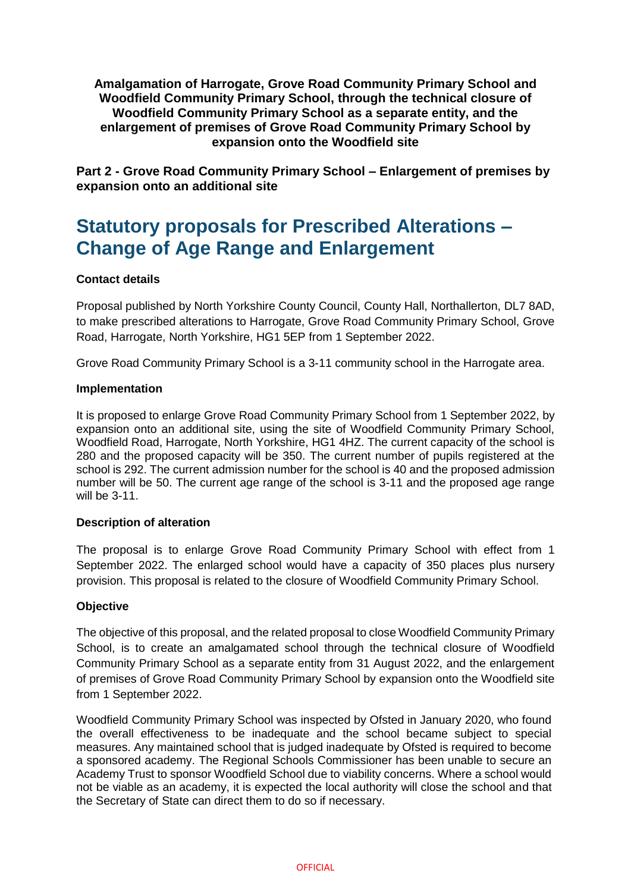**Amalgamation of Harrogate, Grove Road Community Primary School and Woodfield Community Primary School, through the technical closure of Woodfield Community Primary School as a separate entity, and the enlargement of premises of Grove Road Community Primary School by expansion onto the Woodfield site**

**Part 2 - Grove Road Community Primary School – Enlargement of premises by expansion onto an additional site** 

# **Statutory proposals for Prescribed Alterations – Change of Age Range and Enlargement**

# **Contact details**

Proposal published by North Yorkshire County Council, County Hall, Northallerton, DL7 8AD, to make prescribed alterations to Harrogate, Grove Road Community Primary School, Grove Road, Harrogate, North Yorkshire, HG1 5EP from 1 September 2022.

Grove Road Community Primary School is a 3-11 community school in the Harrogate area.

#### **Implementation**

It is proposed to enlarge Grove Road Community Primary School from 1 September 2022, by expansion onto an additional site, using the site of Woodfield Community Primary School, Woodfield Road, Harrogate, North Yorkshire, HG1 4HZ. The current capacity of the school is 280 and the proposed capacity will be 350. The current number of pupils registered at the school is 292. The current admission number for the school is 40 and the proposed admission number will be 50. The current age range of the school is 3-11 and the proposed age range will be 3-11.

#### **Description of alteration**

The proposal is to enlarge Grove Road Community Primary School with effect from 1 September 2022. The enlarged school would have a capacity of 350 places plus nursery provision. This proposal is related to the closure of Woodfield Community Primary School.

#### **Objective**

The objective of this proposal, and the related proposal to close Woodfield Community Primary School, is to create an amalgamated school through the technical closure of Woodfield Community Primary School as a separate entity from 31 August 2022, and the enlargement of premises of Grove Road Community Primary School by expansion onto the Woodfield site from 1 September 2022.

Woodfield Community Primary School was inspected by Ofsted in January 2020, who found the overall effectiveness to be inadequate and the school became subject to special measures. Any maintained school that is judged inadequate by Ofsted is required to become a sponsored academy. The Regional Schools Commissioner has been unable to secure an Academy Trust to sponsor Woodfield School due to viability concerns. Where a school would not be viable as an academy, it is expected the local authority will close the school and that the Secretary of State can direct them to do so if necessary.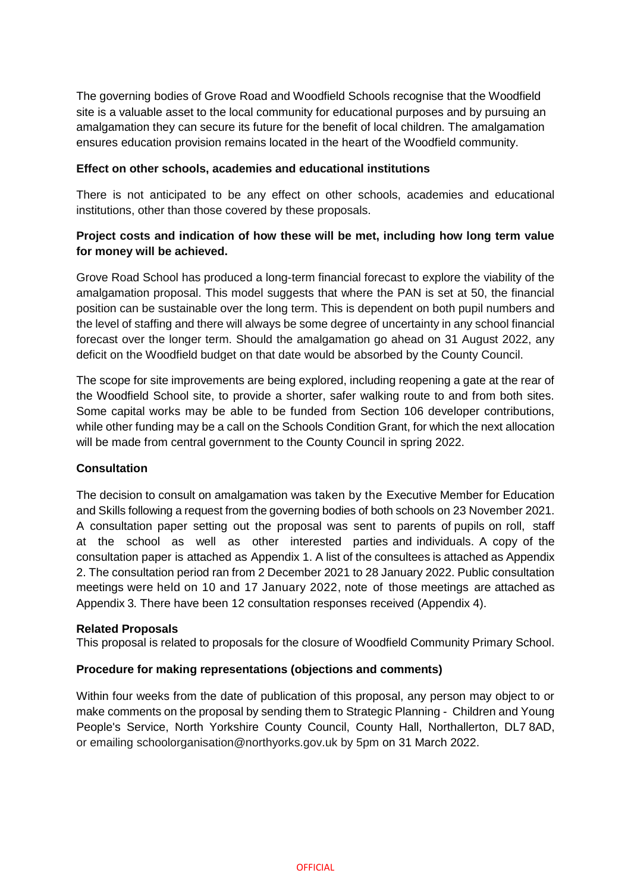The governing bodies of Grove Road and Woodfield Schools recognise that the Woodfield site is a valuable asset to the local community for educational purposes and by pursuing an amalgamation they can secure its future for the benefit of local children. The amalgamation ensures education provision remains located in the heart of the Woodfield community.

#### **Effect on other schools, academies and educational institutions**

There is not anticipated to be any effect on other schools, academies and educational institutions, other than those covered by these proposals.

# **Project costs and indication of how these will be met, including how long term value for money will be achieved.**

Grove Road School has produced a long-term financial forecast to explore the viability of the amalgamation proposal. This model suggests that where the PAN is set at 50, the financial position can be sustainable over the long term. This is dependent on both pupil numbers and the level of staffing and there will always be some degree of uncertainty in any school financial forecast over the longer term. Should the amalgamation go ahead on 31 August 2022, any deficit on the Woodfield budget on that date would be absorbed by the County Council.

The scope for site improvements are being explored, including reopening a gate at the rear of the Woodfield School site, to provide a shorter, safer walking route to and from both sites. Some capital works may be able to be funded from Section 106 developer contributions, while other funding may be a call on the Schools Condition Grant, for which the next allocation will be made from central government to the County Council in spring 2022.

#### **Consultation**

The decision to consult on amalgamation was taken by the Executive Member for Education and Skills following a request from the governing bodies of both schools on 23 November 2021. A consultation paper setting out the proposal was sent to parents of pupils on roll, staff at the school as well as other interested parties and individuals. A copy of the consultation paper is attached as Appendix 1. A list of the consultees is attached as Appendix 2. The consultation period ran from 2 December 2021 to 28 January 2022. Public consultation meetings were held on 10 and 17 January 2022, note of those meetings are attached as Appendix 3. There have been 12 consultation responses received (Appendix 4).

#### **Related Proposals**

This proposal is related to proposals for the closure of Woodfield Community Primary School.

#### **Procedure for making representations (objections and comments)**

Within four weeks from the date of publication of this proposal, any person may object to or make comments on the proposal by sending them to Strategic Planning - Children and Young People's Service, North Yorkshire County Council, County Hall, Northallerton, DL7 8AD, or emailing schoolorganisation@northyorks.gov.uk by 5pm on 31 March 2022.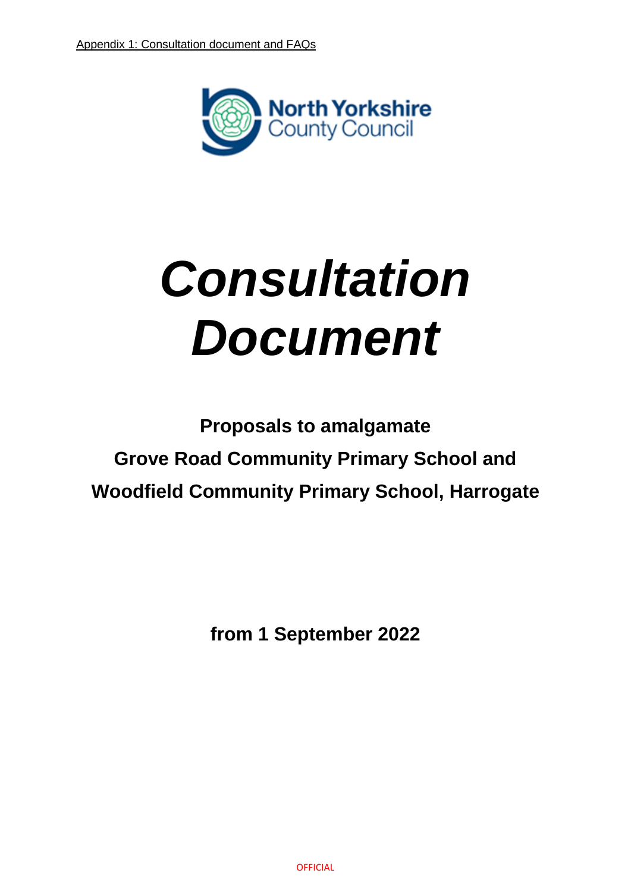

# *Consultation Document*

**Proposals to amalgamate Grove Road Community Primary School and Woodfield Community Primary School, Harrogate** 

**from 1 September 2022**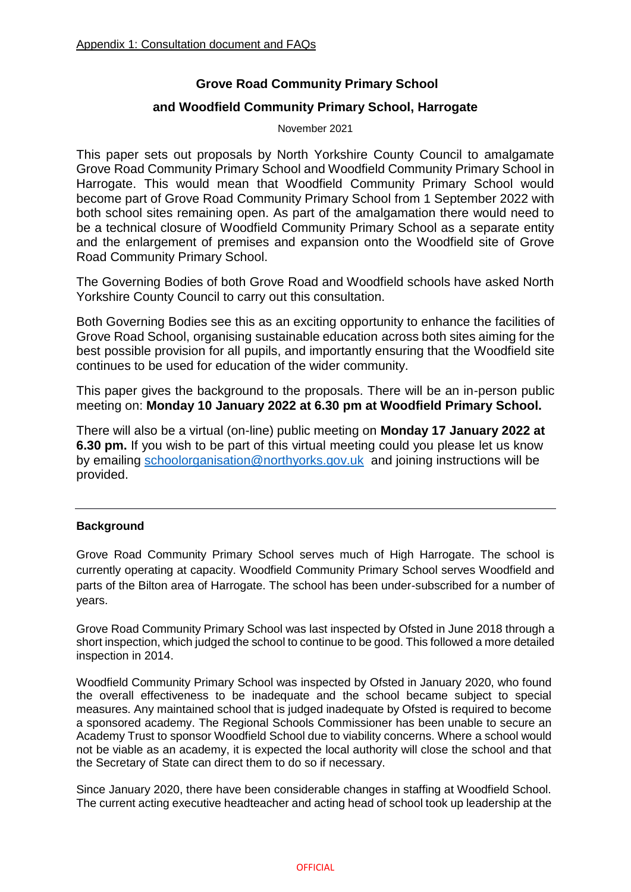# **Grove Road Community Primary School**

# **and Woodfield Community Primary School, Harrogate**

November 2021

This paper sets out proposals by North Yorkshire County Council to amalgamate Grove Road Community Primary School and Woodfield Community Primary School in Harrogate. This would mean that Woodfield Community Primary School would become part of Grove Road Community Primary School from 1 September 2022 with both school sites remaining open. As part of the amalgamation there would need to be a technical closure of Woodfield Community Primary School as a separate entity and the enlargement of premises and expansion onto the Woodfield site of Grove Road Community Primary School.

The Governing Bodies of both Grove Road and Woodfield schools have asked North Yorkshire County Council to carry out this consultation.

Both Governing Bodies see this as an exciting opportunity to enhance the facilities of Grove Road School, organising sustainable education across both sites aiming for the best possible provision for all pupils, and importantly ensuring that the Woodfield site continues to be used for education of the wider community.

This paper gives the background to the proposals. There will be an in-person public meeting on: **Monday 10 January 2022 at 6.30 pm at Woodfield Primary School.** 

There will also be a virtual (on-line) public meeting on **Monday 17 January 2022 at 6.30 pm.** If you wish to be part of this virtual meeting could you please let us know by emailing [schoolorganisation@northyorks.gov.uk](mailto:schoolorganisation@northyorks.gov.uk) and joining instructions will be provided.

#### **Background**

Grove Road Community Primary School serves much of High Harrogate. The school is currently operating at capacity. Woodfield Community Primary School serves Woodfield and parts of the Bilton area of Harrogate. The school has been under-subscribed for a number of years.

Grove Road Community Primary School was last inspected by Ofsted in June 2018 through a short inspection, which judged the school to continue to be good. This followed a more detailed inspection in 2014.

Woodfield Community Primary School was inspected by Ofsted in January 2020, who found the overall effectiveness to be inadequate and the school became subject to special measures. Any maintained school that is judged inadequate by Ofsted is required to become a sponsored academy. The Regional Schools Commissioner has been unable to secure an Academy Trust to sponsor Woodfield School due to viability concerns. Where a school would not be viable as an academy, it is expected the local authority will close the school and that the Secretary of State can direct them to do so if necessary.

Since January 2020, there have been considerable changes in staffing at Woodfield School. The current acting executive headteacher and acting head of school took up leadership at the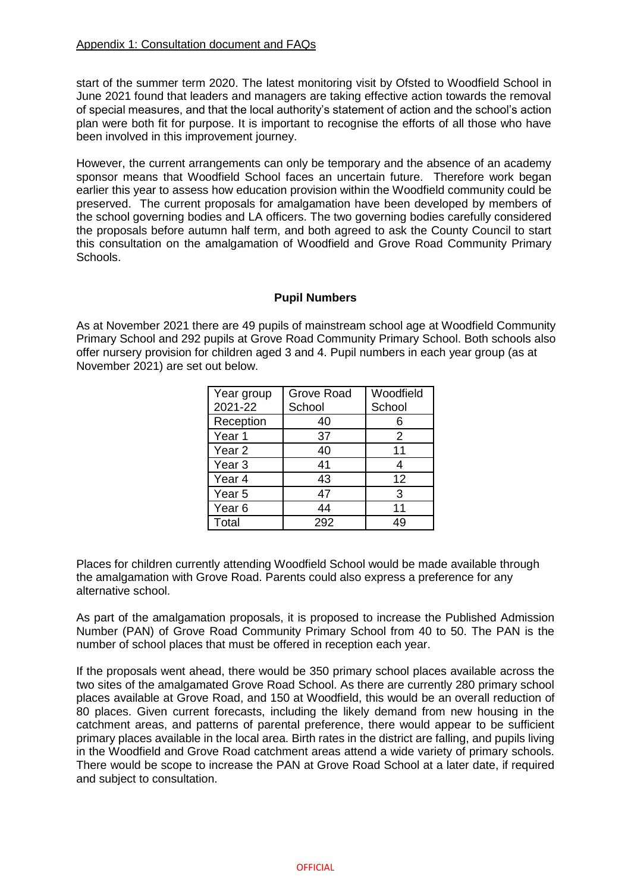start of the summer term 2020. The latest monitoring visit by Ofsted to Woodfield School in June 2021 found that leaders and managers are taking effective action towards the removal of special measures, and that the local authority's statement of action and the school's action plan were both fit for purpose. It is important to recognise the efforts of all those who have been involved in this improvement journey.

However, the current arrangements can only be temporary and the absence of an academy sponsor means that Woodfield School faces an uncertain future. Therefore work began earlier this year to assess how education provision within the Woodfield community could be preserved. The current proposals for amalgamation have been developed by members of the school governing bodies and LA officers. The two governing bodies carefully considered the proposals before autumn half term, and both agreed to ask the County Council to start this consultation on the amalgamation of Woodfield and Grove Road Community Primary Schools.

#### **Pupil Numbers**

As at November 2021 there are 49 pupils of mainstream school age at Woodfield Community Primary School and 292 pupils at Grove Road Community Primary School. Both schools also offer nursery provision for children aged 3 and 4. Pupil numbers in each year group (as at November 2021) are set out below.

| Year group        | <b>Grove Road</b> | Woodfield |
|-------------------|-------------------|-----------|
| 2021-22           | School            | School    |
| Reception         | 40                |           |
| Year 1            | 37                | 2         |
| Year <sub>2</sub> | 40                | 11        |
| Year <sub>3</sub> | 41                |           |
| Year 4            | 43                | 12        |
| Year <sub>5</sub> | 47                | 3         |
| Year <sub>6</sub> | 44                | 11        |
| Total             | 292               | 49        |

Places for children currently attending Woodfield School would be made available through the amalgamation with Grove Road. Parents could also express a preference for any alternative school.

As part of the amalgamation proposals, it is proposed to increase the Published Admission Number (PAN) of Grove Road Community Primary School from 40 to 50. The PAN is the number of school places that must be offered in reception each year.

If the proposals went ahead, there would be 350 primary school places available across the two sites of the amalgamated Grove Road School. As there are currently 280 primary school places available at Grove Road, and 150 at Woodfield, this would be an overall reduction of 80 places. Given current forecasts, including the likely demand from new housing in the catchment areas, and patterns of parental preference, there would appear to be sufficient primary places available in the local area. Birth rates in the district are falling, and pupils living in the Woodfield and Grove Road catchment areas attend a wide variety of primary schools. There would be scope to increase the PAN at Grove Road School at a later date, if required and subject to consultation.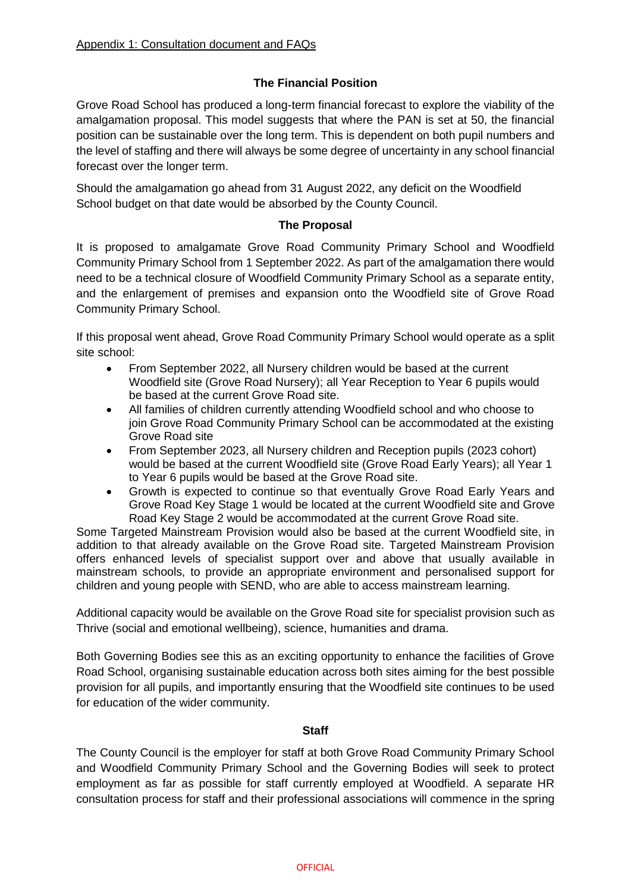# **The Financial Position**

Grove Road School has produced a long-term financial forecast to explore the viability of the amalgamation proposal. This model suggests that where the PAN is set at 50, the financial position can be sustainable over the long term. This is dependent on both pupil numbers and the level of staffing and there will always be some degree of uncertainty in any school financial forecast over the longer term.

Should the amalgamation go ahead from 31 August 2022, any deficit on the Woodfield School budget on that date would be absorbed by the County Council.

# **The Proposal**

It is proposed to amalgamate Grove Road Community Primary School and Woodfield Community Primary School from 1 September 2022. As part of the amalgamation there would need to be a technical closure of Woodfield Community Primary School as a separate entity, and the enlargement of premises and expansion onto the Woodfield site of Grove Road Community Primary School.

If this proposal went ahead, Grove Road Community Primary School would operate as a split site school:

- From September 2022, all Nursery children would be based at the current Woodfield site (Grove Road Nursery); all Year Reception to Year 6 pupils would be based at the current Grove Road site.
- All families of children currently attending Woodfield school and who choose to join Grove Road Community Primary School can be accommodated at the existing Grove Road site
- From September 2023, all Nursery children and Reception pupils (2023 cohort) would be based at the current Woodfield site (Grove Road Early Years); all Year 1 to Year 6 pupils would be based at the Grove Road site.
- Growth is expected to continue so that eventually Grove Road Early Years and Grove Road Key Stage 1 would be located at the current Woodfield site and Grove Road Key Stage 2 would be accommodated at the current Grove Road site.

Some Targeted Mainstream Provision would also be based at the current Woodfield site, in addition to that already available on the Grove Road site. Targeted Mainstream Provision offers enhanced levels of specialist support over and above that usually available in mainstream schools, to provide an appropriate environment and personalised support for children and young people with SEND, who are able to access mainstream learning.

Additional capacity would be available on the Grove Road site for specialist provision such as Thrive (social and emotional wellbeing), science, humanities and drama.

Both Governing Bodies see this as an exciting opportunity to enhance the facilities of Grove Road School, organising sustainable education across both sites aiming for the best possible provision for all pupils, and importantly ensuring that the Woodfield site continues to be used for education of the wider community.

#### **Staff**

The County Council is the employer for staff at both Grove Road Community Primary School and Woodfield Community Primary School and the Governing Bodies will seek to protect employment as far as possible for staff currently employed at Woodfield. A separate HR consultation process for staff and their professional associations will commence in the spring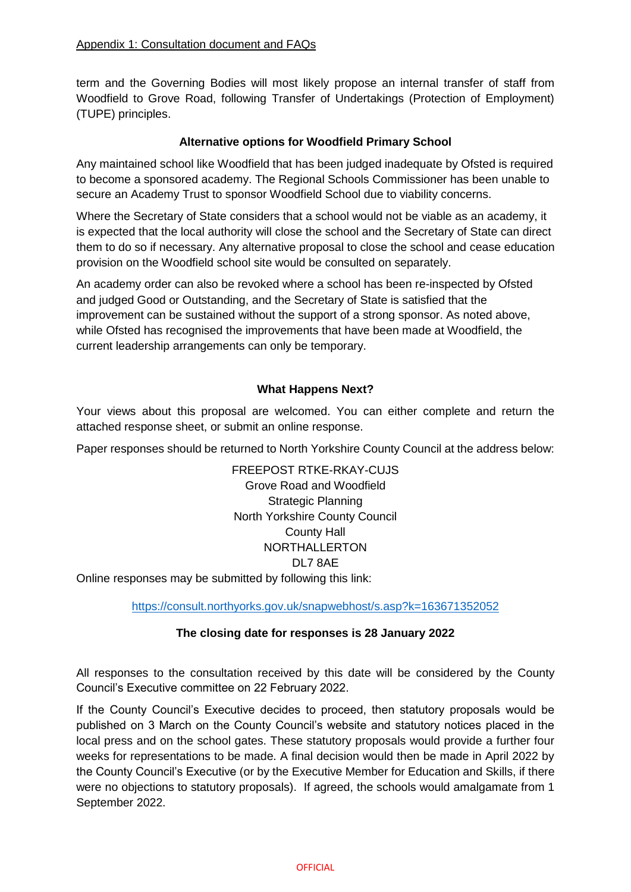term and the Governing Bodies will most likely propose an internal transfer of staff from Woodfield to Grove Road, following Transfer of Undertakings (Protection of Employment) (TUPE) principles.

# **Alternative options for Woodfield Primary School**

Any maintained school like Woodfield that has been judged inadequate by Ofsted is required to become a sponsored academy. The Regional Schools Commissioner has been unable to secure an Academy Trust to sponsor Woodfield School due to viability concerns.

Where the Secretary of State considers that a school would not be viable as an academy, it is expected that the local authority will close the school and the Secretary of State can direct them to do so if necessary. Any alternative proposal to close the school and cease education provision on the Woodfield school site would be consulted on separately.

An academy order can also be revoked where a school has been re-inspected by Ofsted and judged Good or Outstanding, and the Secretary of State is satisfied that the improvement can be sustained without the support of a strong sponsor. As noted above, while Ofsted has recognised the improvements that have been made at Woodfield, the current leadership arrangements can only be temporary.

# **What Happens Next?**

Your views about this proposal are welcomed. You can either complete and return the attached response sheet, or submit an online response.

Paper responses should be returned to North Yorkshire County Council at the address below:

FREEPOST RTKE-RKAY-CUJS Grove Road and Woodfield Strategic Planning North Yorkshire County Council County Hall NORTHALLERTON DL7 8AE

Online responses may be submitted by following this link:

<https://consult.northyorks.gov.uk/snapwebhost/s.asp?k=163671352052>

#### **The closing date for responses is 28 January 2022**

All responses to the consultation received by this date will be considered by the County Council's Executive committee on 22 February 2022.

If the County Council's Executive decides to proceed, then statutory proposals would be published on 3 March on the County Council's website and statutory notices placed in the local press and on the school gates. These statutory proposals would provide a further four weeks for representations to be made. A final decision would then be made in April 2022 by the County Council's Executive (or by the Executive Member for Education and Skills, if there were no objections to statutory proposals). If agreed, the schools would amalgamate from 1 September 2022.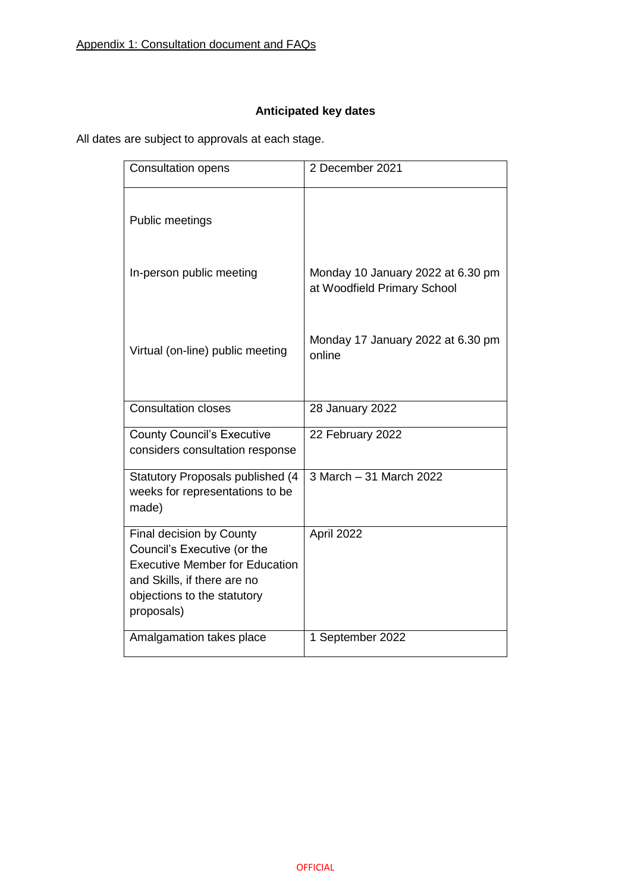# **Anticipated key dates**

All dates are subject to approvals at each stage.

| <b>Consultation opens</b>                                                                                                                                                    | 2 December 2021                                                  |
|------------------------------------------------------------------------------------------------------------------------------------------------------------------------------|------------------------------------------------------------------|
| Public meetings                                                                                                                                                              |                                                                  |
| In-person public meeting                                                                                                                                                     | Monday 10 January 2022 at 6.30 pm<br>at Woodfield Primary School |
| Virtual (on-line) public meeting                                                                                                                                             | Monday 17 January 2022 at 6.30 pm<br>online                      |
| <b>Consultation closes</b>                                                                                                                                                   | <b>28 January 2022</b>                                           |
| <b>County Council's Executive</b><br>considers consultation response                                                                                                         | 22 February 2022                                                 |
| <b>Statutory Proposals published (4</b><br>weeks for representations to be<br>made)                                                                                          | 3 March - 31 March 2022                                          |
| Final decision by County<br>Council's Executive (or the<br><b>Executive Member for Education</b><br>and Skills, if there are no<br>objections to the statutory<br>proposals) | April 2022                                                       |
| Amalgamation takes place                                                                                                                                                     | 1 September 2022                                                 |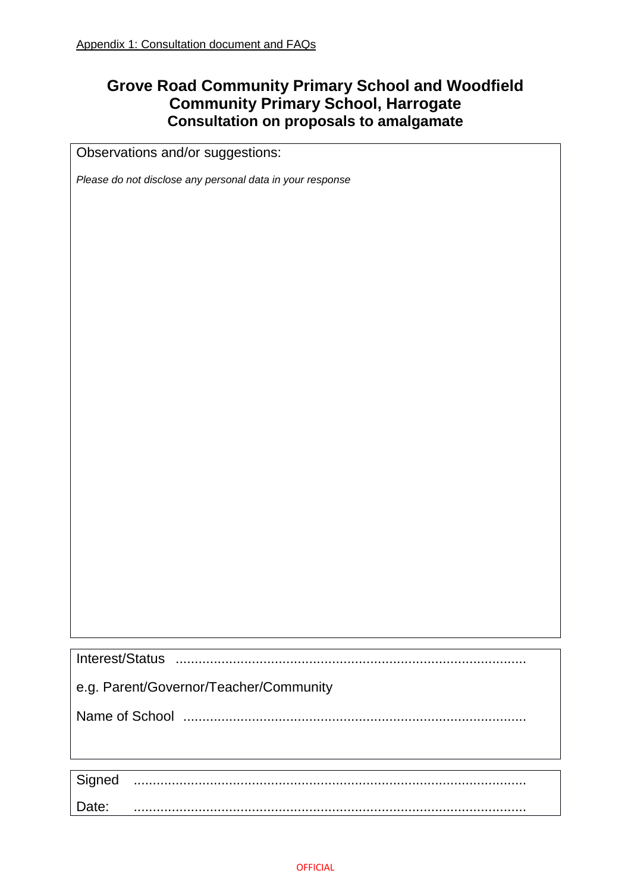# **Grove Road Community Primary School and Woodfield Community Primary School, Harrogate Consultation on proposals to amalgamate**

Observations and/or suggestions:

*Please do not disclose any personal data in your response*

| e.g. Parent/Governor/Teacher/Community |
|----------------------------------------|
|                                        |
|                                        |
|                                        |
| Signed                                 |

Date: .......................................................................................................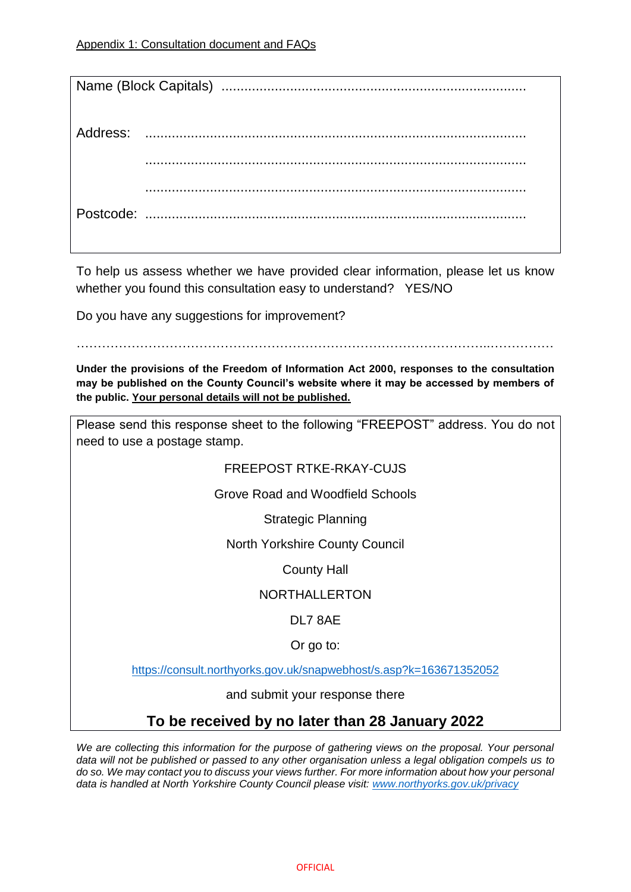To help us assess whether we have provided clear information, please let us know whether you found this consultation easy to understand? YES/NO

Do you have any suggestions for improvement?

……………………………………………………………………………………..……………

**Under the provisions of the Freedom of Information Act 2000, responses to the consultation may be published on the County Council's website where it may be accessed by members of the public. Your personal details will not be published.**

Please send this response sheet to the following "FREEPOST" address. You do not need to use a postage stamp.

# FREEPOST RTKE-RKAY-CUJS

Grove Road and Woodfield Schools

Strategic Planning

North Yorkshire County Council

County Hall

NORTHALLERTON

DL7 8AE

Or go to:

<https://consult.northyorks.gov.uk/snapwebhost/s.asp?k=163671352052>

and submit your response there

# **To be received by no later than 28 January 2022**

*We are collecting this information for the purpose of gathering views on the proposal. Your personal data will not be published or passed to any other organisation unless a legal obligation compels us to do so. We may contact you to discuss your views further. For more information about how your personal data is handled at North Yorkshire County Council please visit: [www.northyorks.gov.uk/privacy](http://www.northyorks.gov.uk/privacy)*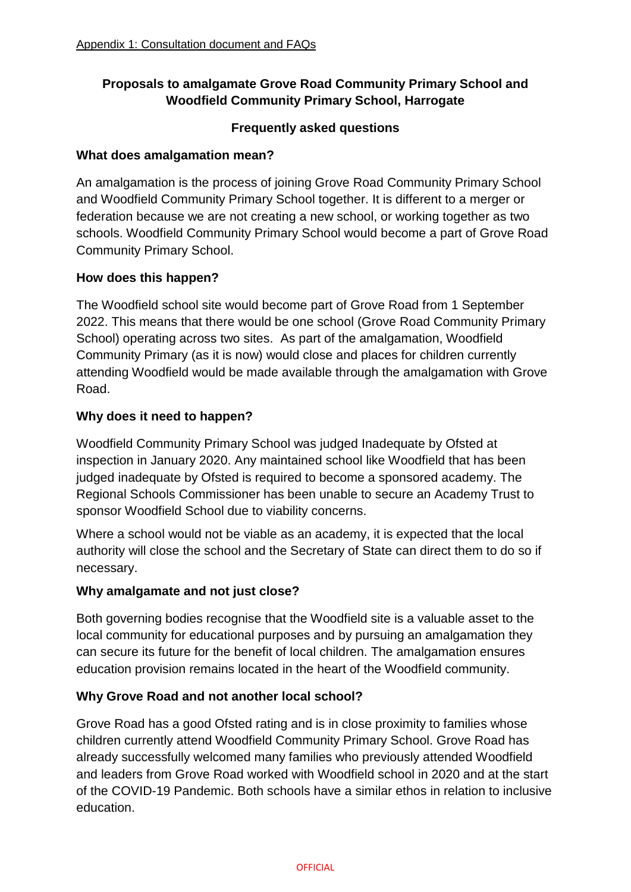# **Proposals to amalgamate Grove Road Community Primary School and Woodfield Community Primary School, Harrogate**

# **Frequently asked questions**

# **What does amalgamation mean?**

An amalgamation is the process of joining Grove Road Community Primary School and Woodfield Community Primary School together. It is different to a merger or federation because we are not creating a new school, or working together as two schools. Woodfield Community Primary School would become a part of Grove Road Community Primary School.

# **How does this happen?**

The Woodfield school site would become part of Grove Road from 1 September 2022. This means that there would be one school (Grove Road Community Primary School) operating across two sites. As part of the amalgamation, Woodfield Community Primary (as it is now) would close and places for children currently attending Woodfield would be made available through the amalgamation with Grove Road.

# **Why does it need to happen?**

Woodfield Community Primary School was judged Inadequate by Ofsted at inspection in January 2020. Any maintained school like Woodfield that has been judged inadequate by Ofsted is required to become a sponsored academy. The Regional Schools Commissioner has been unable to secure an Academy Trust to sponsor Woodfield School due to viability concerns.

Where a school would not be viable as an academy, it is expected that the local authority will close the school and the Secretary of State can direct them to do so if necessary.

# **Why amalgamate and not just close?**

Both governing bodies recognise that the Woodfield site is a valuable asset to the local community for educational purposes and by pursuing an amalgamation they can secure its future for the benefit of local children. The amalgamation ensures education provision remains located in the heart of the Woodfield community.

# **Why Grove Road and not another local school?**

Grove Road has a good Ofsted rating and is in close proximity to families whose children currently attend Woodfield Community Primary School. Grove Road has already successfully welcomed many families who previously attended Woodfield and leaders from Grove Road worked with Woodfield school in 2020 and at the start of the COVID-19 Pandemic. Both schools have a similar ethos in relation to inclusive education.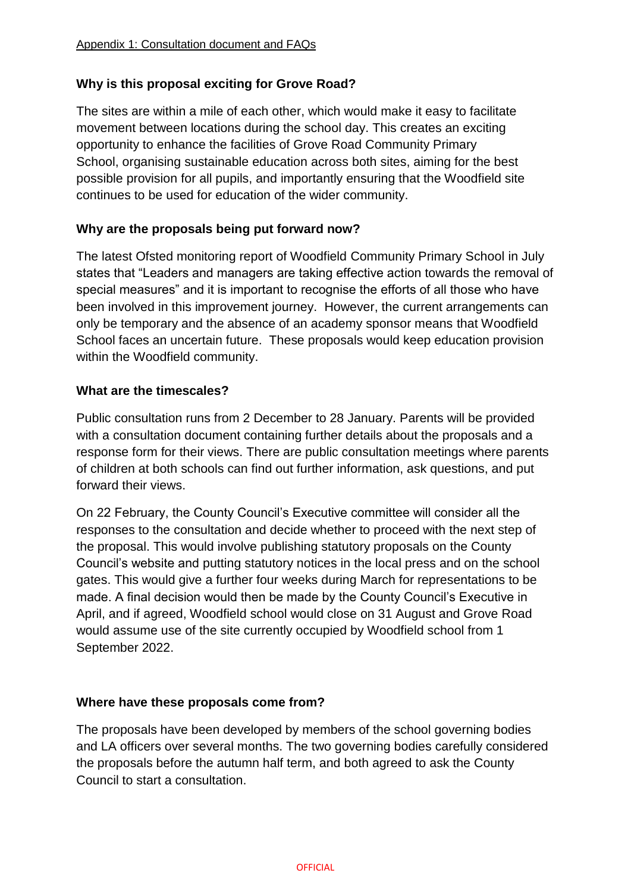# **Why is this proposal exciting for Grove Road?**

The sites are within a mile of each other, which would make it easy to facilitate movement between locations during the school day. This creates an exciting opportunity to enhance the facilities of Grove Road Community Primary School, organising sustainable education across both sites, aiming for the best possible provision for all pupils, and importantly ensuring that the Woodfield site continues to be used for education of the wider community.

# **Why are the proposals being put forward now?**

The latest Ofsted monitoring report of Woodfield Community Primary School in July states that "Leaders and managers are taking effective action towards the removal of special measures" and it is important to recognise the efforts of all those who have been involved in this improvement journey. However, the current arrangements can only be temporary and the absence of an academy sponsor means that Woodfield School faces an uncertain future. These proposals would keep education provision within the Woodfield community.

# **What are the timescales?**

Public consultation runs from 2 December to 28 January. Parents will be provided with a consultation document containing further details about the proposals and a response form for their views. There are public consultation meetings where parents of children at both schools can find out further information, ask questions, and put forward their views.

On 22 February, the County Council's Executive committee will consider all the responses to the consultation and decide whether to proceed with the next step of the proposal. This would involve publishing statutory proposals on the County Council's website and putting statutory notices in the local press and on the school gates. This would give a further four weeks during March for representations to be made. A final decision would then be made by the County Council's Executive in April, and if agreed, Woodfield school would close on 31 August and Grove Road would assume use of the site currently occupied by Woodfield school from 1 September 2022.

# **Where have these proposals come from?**

The proposals have been developed by members of the school governing bodies and LA officers over several months. The two governing bodies carefully considered the proposals before the autumn half term, and both agreed to ask the County Council to start a consultation.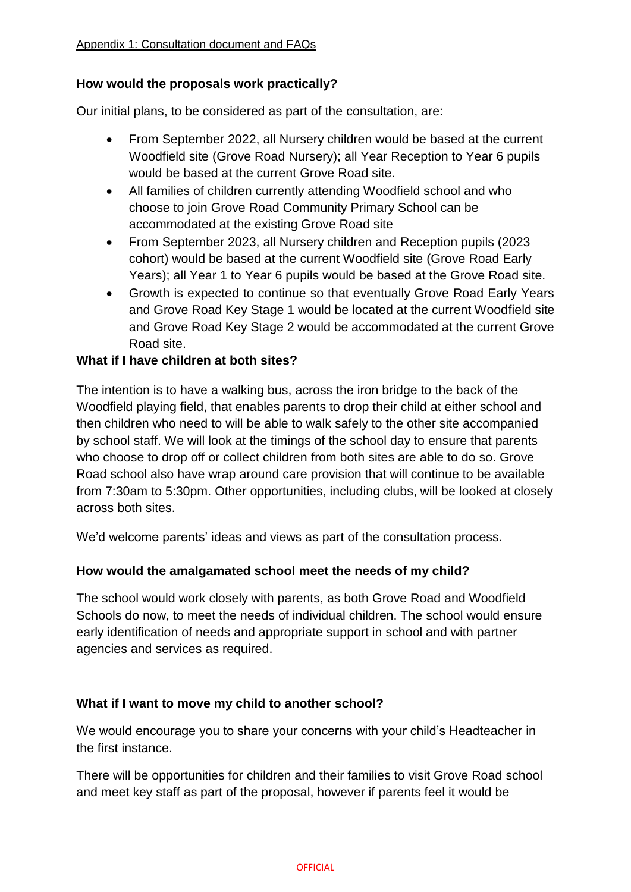# **How would the proposals work practically?**

Our initial plans, to be considered as part of the consultation, are:

- From September 2022, all Nursery children would be based at the current Woodfield site (Grove Road Nursery); all Year Reception to Year 6 pupils would be based at the current Grove Road site.
- All families of children currently attending Woodfield school and who choose to join Grove Road Community Primary School can be accommodated at the existing Grove Road site
- From September 2023, all Nursery children and Reception pupils (2023 cohort) would be based at the current Woodfield site (Grove Road Early Years); all Year 1 to Year 6 pupils would be based at the Grove Road site.
- Growth is expected to continue so that eventually Grove Road Early Years and Grove Road Key Stage 1 would be located at the current Woodfield site and Grove Road Key Stage 2 would be accommodated at the current Grove Road site.

# **What if I have children at both sites?**

The intention is to have a walking bus, across the iron bridge to the back of the Woodfield playing field, that enables parents to drop their child at either school and then children who need to will be able to walk safely to the other site accompanied by school staff. We will look at the timings of the school day to ensure that parents who choose to drop off or collect children from both sites are able to do so. Grove Road school also have wrap around care provision that will continue to be available from 7:30am to 5:30pm. Other opportunities, including clubs, will be looked at closely across both sites.

We'd welcome parents' ideas and views as part of the consultation process.

# **How would the amalgamated school meet the needs of my child?**

The school would work closely with parents, as both Grove Road and Woodfield Schools do now, to meet the needs of individual children. The school would ensure early identification of needs and appropriate support in school and with partner agencies and services as required.

# **What if I want to move my child to another school?**

We would encourage you to share your concerns with your child's Headteacher in the first instance.

There will be opportunities for children and their families to visit Grove Road school and meet key staff as part of the proposal, however if parents feel it would be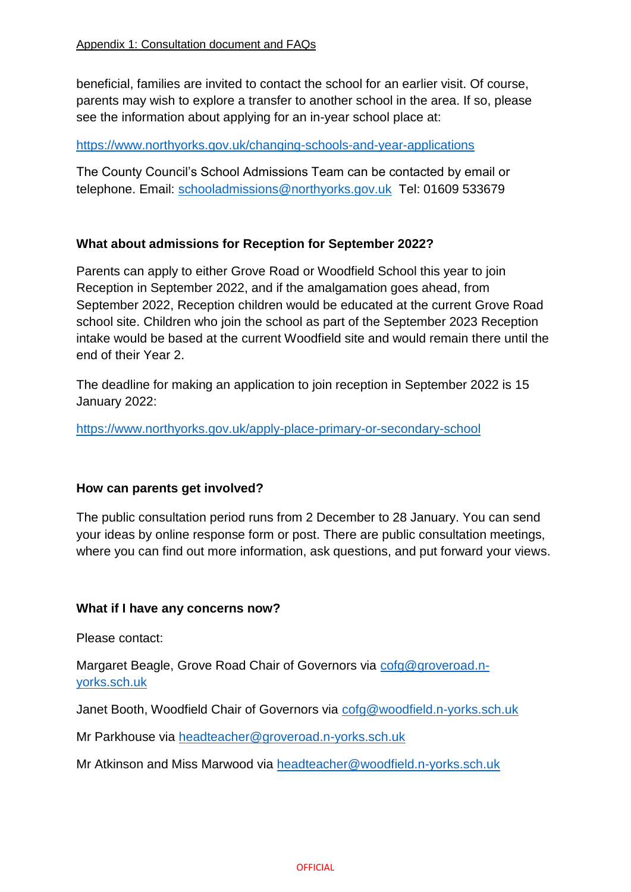beneficial, families are invited to contact the school for an earlier visit. Of course, parents may wish to explore a transfer to another school in the area. If so, please see the information about applying for an in-year school place at:

# <https://www.northyorks.gov.uk/changing-schools-and-year-applications>

The County Council's School Admissions Team can be contacted by email or telephone. Email: [schooladmissions@northyorks.gov.uk](mailto:schooladmissions@northyorks.gov.uk) Tel: 01609 533679

# **What about admissions for Reception for September 2022?**

Parents can apply to either Grove Road or Woodfield School this year to join Reception in September 2022, and if the amalgamation goes ahead, from September 2022, Reception children would be educated at the current Grove Road school site. Children who join the school as part of the September 2023 Reception intake would be based at the current Woodfield site and would remain there until the end of their Year 2.

The deadline for making an application to join reception in September 2022 is 15 January 2022:

<https://www.northyorks.gov.uk/apply-place-primary-or-secondary-school>

# **How can parents get involved?**

The public consultation period runs from 2 December to 28 January. You can send your ideas by online response form or post. There are public consultation meetings, where you can find out more information, ask questions, and put forward your views.

# **What if I have any concerns now?**

Please contact:

Margaret Beagle, Grove Road Chair of Governors via [cofg@groveroad.n](mailto:cofg@groveroad.n-yorks.sch.uk)[yorks.sch.uk](mailto:cofg@groveroad.n-yorks.sch.uk)

Janet Booth, Woodfield Chair of Governors via [cofg@woodfield.n-yorks.sch.uk](mailto:cofg@woodfield.n-yorks.sch.uk)

Mr Parkhouse via [headteacher@groveroad.n-yorks.sch.uk](mailto:headteacher@groveroad.n-yorks.sch.uk)

Mr Atkinson and Miss Marwood via headteacher@woodfield.n-yorks.sch.uk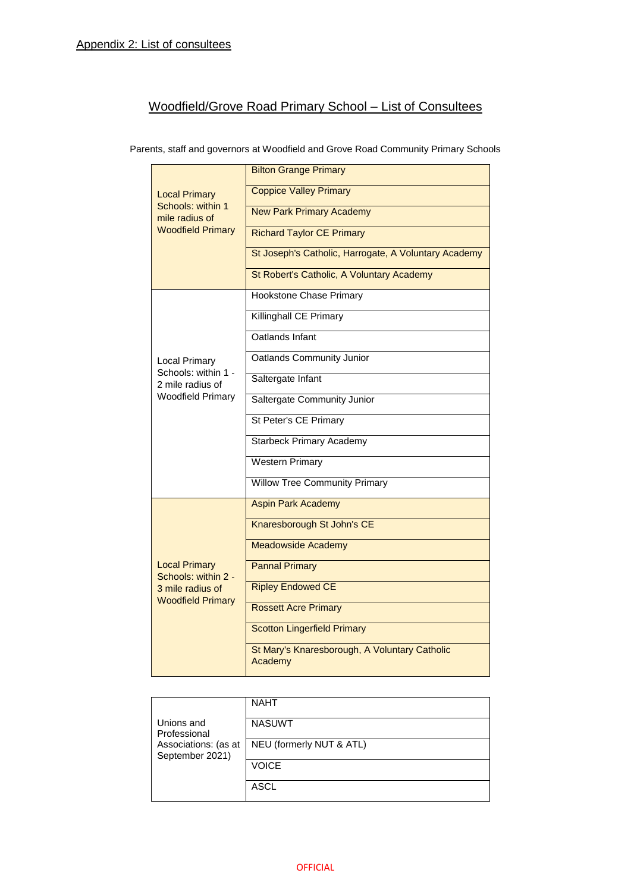# Woodfield/Grove Road Primary School – List of Consultees

Parents, staff and governors at Woodfield and Grove Road Community Primary Schools

|                                                                                             | <b>Bilton Grange Primary</b>                             |
|---------------------------------------------------------------------------------------------|----------------------------------------------------------|
| <b>Local Primary</b><br>Schools: within 1<br>mile radius of                                 | <b>Coppice Valley Primary</b>                            |
|                                                                                             | <b>New Park Primary Academy</b>                          |
| <b>Woodfield Primary</b>                                                                    | <b>Richard Taylor CE Primary</b>                         |
|                                                                                             | St Joseph's Catholic, Harrogate, A Voluntary Academy     |
|                                                                                             | St Robert's Catholic, A Voluntary Academy                |
|                                                                                             | <b>Hookstone Chase Primary</b>                           |
|                                                                                             | <b>Killinghall CE Primary</b>                            |
|                                                                                             | Oatlands Infant                                          |
| <b>Local Primary</b>                                                                        | Oatlands Community Junior                                |
| Schools: within 1 -<br>2 mile radius of                                                     | Saltergate Infant                                        |
| <b>Woodfield Primary</b>                                                                    | Saltergate Community Junior                              |
|                                                                                             | St Peter's CE Primary                                    |
|                                                                                             | <b>Starbeck Primary Academy</b>                          |
|                                                                                             | Western Primary                                          |
|                                                                                             | <b>Willow Tree Community Primary</b>                     |
|                                                                                             | <b>Aspin Park Academy</b>                                |
|                                                                                             | Knaresborough St John's CE                               |
| <b>Local Primary</b><br>Schools: within 2 -<br>3 mile radius of<br><b>Woodfield Primary</b> | Meadowside Academy                                       |
|                                                                                             | <b>Pannal Primary</b>                                    |
|                                                                                             | <b>Ripley Endowed CE</b>                                 |
|                                                                                             | <b>Rossett Acre Primary</b>                              |
|                                                                                             | <b>Scotton Lingerfield Primary</b>                       |
|                                                                                             | St Mary's Knaresborough, A Voluntary Catholic<br>Academy |

|                                         | <b>NAHT</b>              |
|-----------------------------------------|--------------------------|
| Unions and<br>Professional              | <b>NASUWT</b>            |
| Associations: (as at<br>September 2021) | NEU (formerly NUT & ATL) |
|                                         | <b>VOICE</b>             |
|                                         | ASCL                     |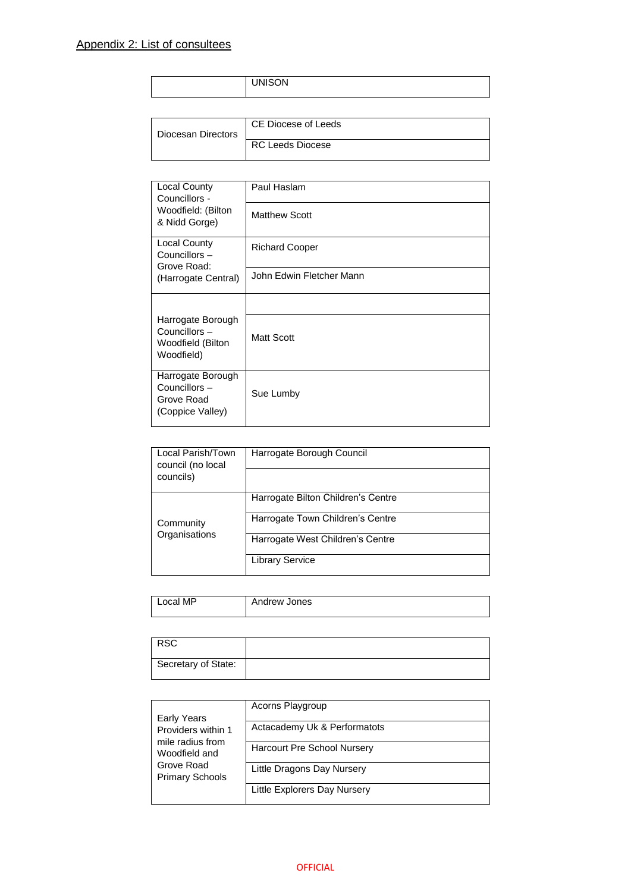| VISON<br>$\blacksquare$ |
|-------------------------|
|-------------------------|

| Diocesan Directors | CE Diocese of Leeds     |
|--------------------|-------------------------|
|                    | <b>RC Leeds Diocese</b> |

| <b>Local County</b><br>Councillors -                                 | Paul Haslam              |
|----------------------------------------------------------------------|--------------------------|
| Woodfield: (Bilton<br>& Nidd Gorge)                                  | <b>Matthew Scott</b>     |
| Local County<br>Councillors -<br>Grove Road:                         | <b>Richard Cooper</b>    |
| (Harrogate Central)                                                  | John Edwin Fletcher Mann |
|                                                                      |                          |
| Harrogate Borough<br>Councillors-<br>Woodfield (Bilton<br>Woodfield) | <b>Matt Scott</b>        |
| Harrogate Borough<br>Councillors -<br>Grove Road<br>(Coppice Valley) | Sue Lumby                |

| Local Parish/Town<br>council (no local<br>councils) | Harrogate Borough Council          |
|-----------------------------------------------------|------------------------------------|
|                                                     |                                    |
|                                                     | Harrogate Bilton Children's Centre |
| Community<br>Organisations                          | Harrogate Town Children's Centre   |
|                                                     | Harrogate West Children's Centre   |
|                                                     | <b>Library Service</b>             |

| МP<br>ocal | Andrew Jones |
|------------|--------------|
|            |              |

| <b>RSC</b>          |  |
|---------------------|--|
| Secretary of State: |  |

|                                                                                                 | Acorns Playgroup                   |
|-------------------------------------------------------------------------------------------------|------------------------------------|
| Early Years                                                                                     |                                    |
| Providers within 1<br>mile radius from<br>Woodfield and<br>Grove Road<br><b>Primary Schools</b> | Actacademy Uk & Performatots       |
|                                                                                                 | <b>Harcourt Pre School Nursery</b> |
|                                                                                                 | Little Dragons Day Nursery         |
|                                                                                                 | Little Explorers Day Nursery       |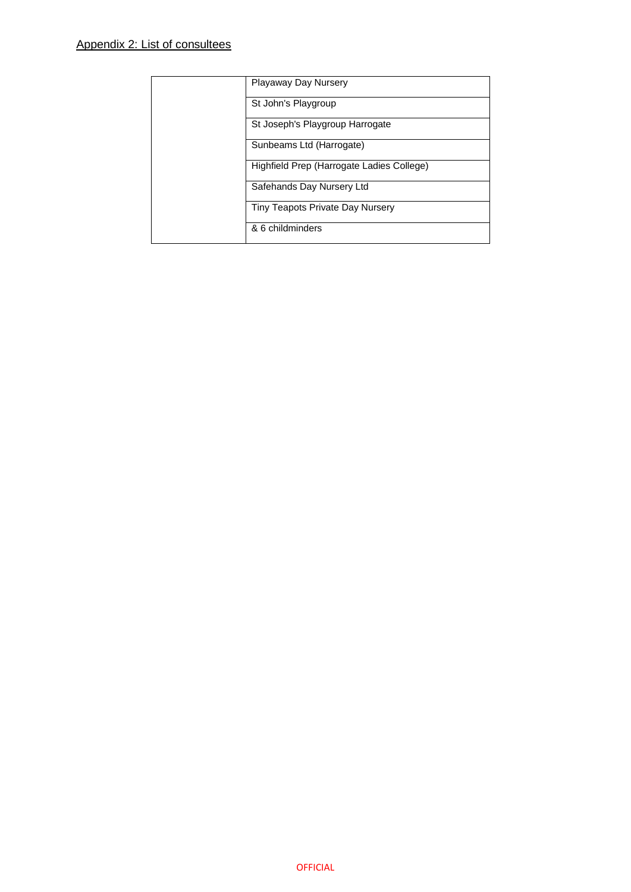| Playaway Day Nursery                      |
|-------------------------------------------|
| St John's Playgroup                       |
| St Joseph's Playgroup Harrogate           |
| Sunbeams Ltd (Harrogate)                  |
| Highfield Prep (Harrogate Ladies College) |
| Safehands Day Nursery Ltd                 |
| Tiny Teapots Private Day Nursery          |
| & 6 childminders                          |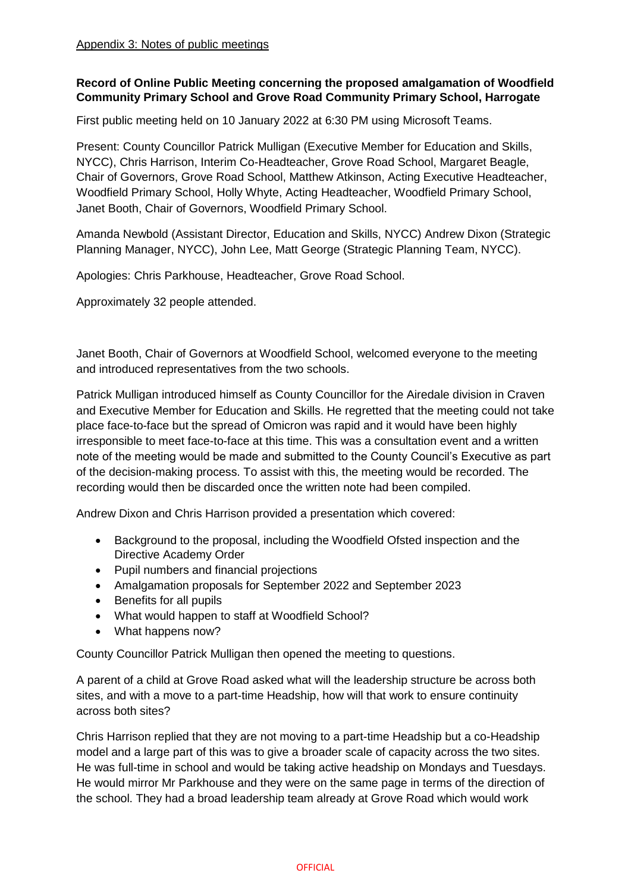# **Record of Online Public Meeting concerning the proposed amalgamation of Woodfield Community Primary School and Grove Road Community Primary School, Harrogate**

First public meeting held on 10 January 2022 at 6:30 PM using Microsoft Teams.

Present: County Councillor Patrick Mulligan (Executive Member for Education and Skills, NYCC), Chris Harrison, Interim Co-Headteacher, Grove Road School, Margaret Beagle, Chair of Governors, Grove Road School, Matthew Atkinson, Acting Executive Headteacher, Woodfield Primary School, Holly Whyte, Acting Headteacher, Woodfield Primary School, Janet Booth, Chair of Governors, Woodfield Primary School.

Amanda Newbold (Assistant Director, Education and Skills, NYCC) Andrew Dixon (Strategic Planning Manager, NYCC), John Lee, Matt George (Strategic Planning Team, NYCC).

Apologies: Chris Parkhouse, Headteacher, Grove Road School.

Approximately 32 people attended.

Janet Booth, Chair of Governors at Woodfield School, welcomed everyone to the meeting and introduced representatives from the two schools.

Patrick Mulligan introduced himself as County Councillor for the Airedale division in Craven and Executive Member for Education and Skills. He regretted that the meeting could not take place face-to-face but the spread of Omicron was rapid and it would have been highly irresponsible to meet face-to-face at this time. This was a consultation event and a written note of the meeting would be made and submitted to the County Council's Executive as part of the decision-making process. To assist with this, the meeting would be recorded. The recording would then be discarded once the written note had been compiled.

Andrew Dixon and Chris Harrison provided a presentation which covered:

- Background to the proposal, including the Woodfield Ofsted inspection and the Directive Academy Order
- Pupil numbers and financial projections
- Amalgamation proposals for September 2022 and September 2023
- Benefits for all pupils
- What would happen to staff at Woodfield School?
- What happens now?

County Councillor Patrick Mulligan then opened the meeting to questions.

A parent of a child at Grove Road asked what will the leadership structure be across both sites, and with a move to a part-time Headship, how will that work to ensure continuity across both sites?

Chris Harrison replied that they are not moving to a part-time Headship but a co-Headship model and a large part of this was to give a broader scale of capacity across the two sites. He was full-time in school and would be taking active headship on Mondays and Tuesdays. He would mirror Mr Parkhouse and they were on the same page in terms of the direction of the school. They had a broad leadership team already at Grove Road which would work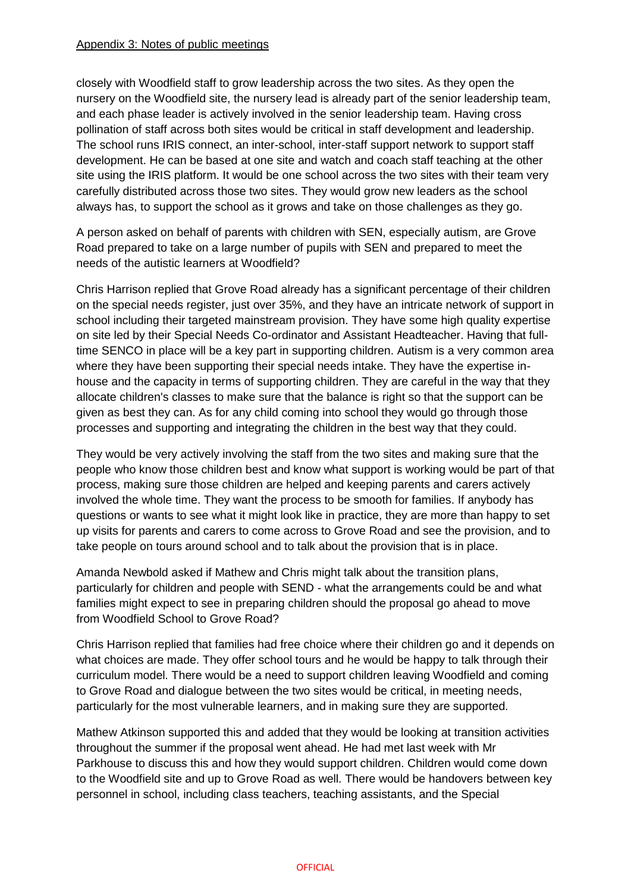closely with Woodfield staff to grow leadership across the two sites. As they open the nursery on the Woodfield site, the nursery lead is already part of the senior leadership team, and each phase leader is actively involved in the senior leadership team. Having cross pollination of staff across both sites would be critical in staff development and leadership. The school runs IRIS connect, an inter-school, inter-staff support network to support staff development. He can be based at one site and watch and coach staff teaching at the other site using the IRIS platform. It would be one school across the two sites with their team very carefully distributed across those two sites. They would grow new leaders as the school always has, to support the school as it grows and take on those challenges as they go.

A person asked on behalf of parents with children with SEN, especially autism, are Grove Road prepared to take on a large number of pupils with SEN and prepared to meet the needs of the autistic learners at Woodfield?

Chris Harrison replied that Grove Road already has a significant percentage of their children on the special needs register, just over 35%, and they have an intricate network of support in school including their targeted mainstream provision. They have some high quality expertise on site led by their Special Needs Co-ordinator and Assistant Headteacher. Having that fulltime SENCO in place will be a key part in supporting children. Autism is a very common area where they have been supporting their special needs intake. They have the expertise inhouse and the capacity in terms of supporting children. They are careful in the way that they allocate children's classes to make sure that the balance is right so that the support can be given as best they can. As for any child coming into school they would go through those processes and supporting and integrating the children in the best way that they could.

They would be very actively involving the staff from the two sites and making sure that the people who know those children best and know what support is working would be part of that process, making sure those children are helped and keeping parents and carers actively involved the whole time. They want the process to be smooth for families. If anybody has questions or wants to see what it might look like in practice, they are more than happy to set up visits for parents and carers to come across to Grove Road and see the provision, and to take people on tours around school and to talk about the provision that is in place.

Amanda Newbold asked if Mathew and Chris might talk about the transition plans, particularly for children and people with SEND - what the arrangements could be and what families might expect to see in preparing children should the proposal go ahead to move from Woodfield School to Grove Road?

Chris Harrison replied that families had free choice where their children go and it depends on what choices are made. They offer school tours and he would be happy to talk through their curriculum model. There would be a need to support children leaving Woodfield and coming to Grove Road and dialogue between the two sites would be critical, in meeting needs, particularly for the most vulnerable learners, and in making sure they are supported.

Mathew Atkinson supported this and added that they would be looking at transition activities throughout the summer if the proposal went ahead. He had met last week with Mr Parkhouse to discuss this and how they would support children. Children would come down to the Woodfield site and up to Grove Road as well. There would be handovers between key personnel in school, including class teachers, teaching assistants, and the Special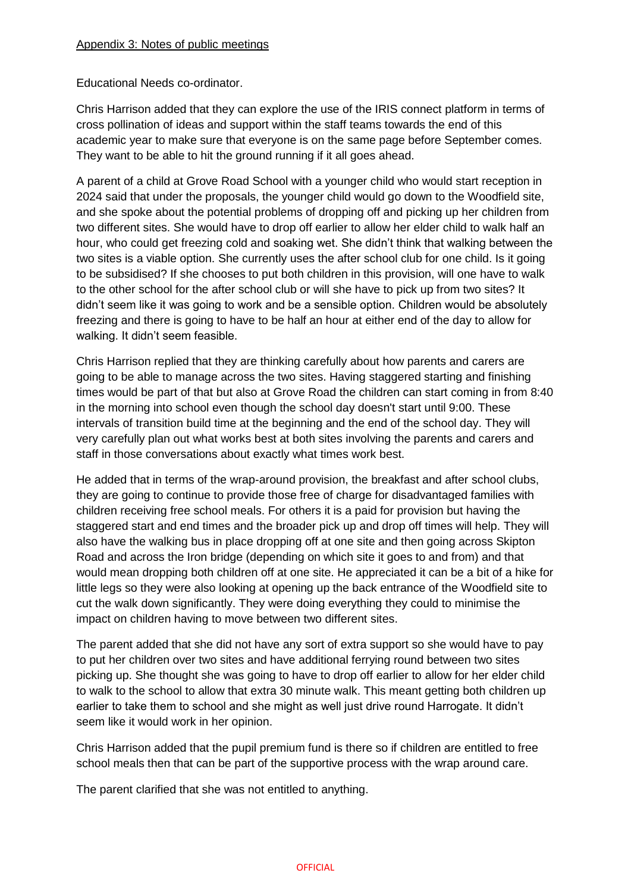Educational Needs co-ordinator.

Chris Harrison added that they can explore the use of the IRIS connect platform in terms of cross pollination of ideas and support within the staff teams towards the end of this academic year to make sure that everyone is on the same page before September comes. They want to be able to hit the ground running if it all goes ahead.

A parent of a child at Grove Road School with a younger child who would start reception in 2024 said that under the proposals, the younger child would go down to the Woodfield site, and she spoke about the potential problems of dropping off and picking up her children from two different sites. She would have to drop off earlier to allow her elder child to walk half an hour, who could get freezing cold and soaking wet. She didn't think that walking between the two sites is a viable option. She currently uses the after school club for one child. Is it going to be subsidised? If she chooses to put both children in this provision, will one have to walk to the other school for the after school club or will she have to pick up from two sites? It didn't seem like it was going to work and be a sensible option. Children would be absolutely freezing and there is going to have to be half an hour at either end of the day to allow for walking. It didn't seem feasible.

Chris Harrison replied that they are thinking carefully about how parents and carers are going to be able to manage across the two sites. Having staggered starting and finishing times would be part of that but also at Grove Road the children can start coming in from 8:40 in the morning into school even though the school day doesn't start until 9:00. These intervals of transition build time at the beginning and the end of the school day. They will very carefully plan out what works best at both sites involving the parents and carers and staff in those conversations about exactly what times work best.

He added that in terms of the wrap-around provision, the breakfast and after school clubs, they are going to continue to provide those free of charge for disadvantaged families with children receiving free school meals. For others it is a paid for provision but having the staggered start and end times and the broader pick up and drop off times will help. They will also have the walking bus in place dropping off at one site and then going across Skipton Road and across the Iron bridge (depending on which site it goes to and from) and that would mean dropping both children off at one site. He appreciated it can be a bit of a hike for little legs so they were also looking at opening up the back entrance of the Woodfield site to cut the walk down significantly. They were doing everything they could to minimise the impact on children having to move between two different sites.

The parent added that she did not have any sort of extra support so she would have to pay to put her children over two sites and have additional ferrying round between two sites picking up. She thought she was going to have to drop off earlier to allow for her elder child to walk to the school to allow that extra 30 minute walk. This meant getting both children up earlier to take them to school and she might as well just drive round Harrogate. It didn't seem like it would work in her opinion.

Chris Harrison added that the pupil premium fund is there so if children are entitled to free school meals then that can be part of the supportive process with the wrap around care.

The parent clarified that she was not entitled to anything.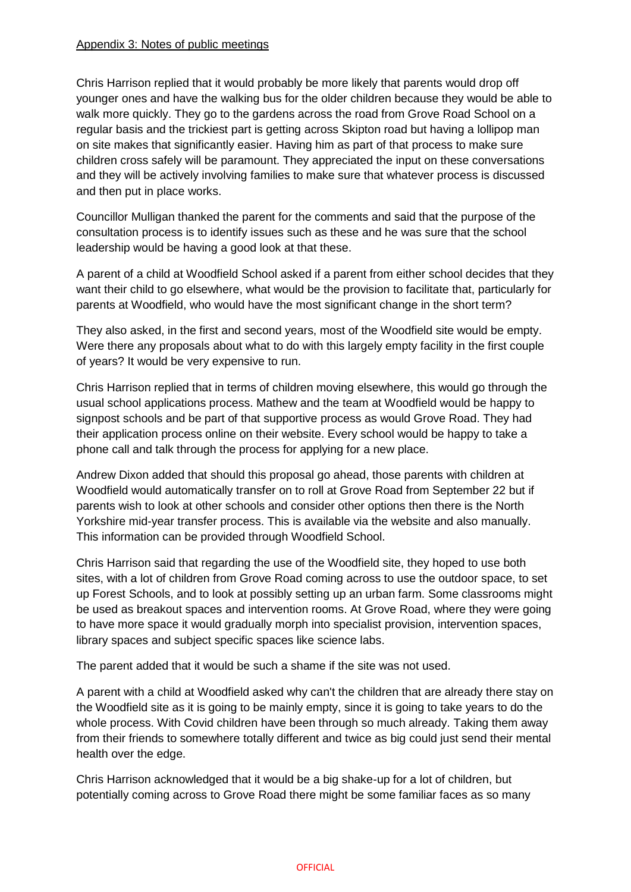Chris Harrison replied that it would probably be more likely that parents would drop off younger ones and have the walking bus for the older children because they would be able to walk more quickly. They go to the gardens across the road from Grove Road School on a regular basis and the trickiest part is getting across Skipton road but having a lollipop man on site makes that significantly easier. Having him as part of that process to make sure children cross safely will be paramount. They appreciated the input on these conversations and they will be actively involving families to make sure that whatever process is discussed and then put in place works.

Councillor Mulligan thanked the parent for the comments and said that the purpose of the consultation process is to identify issues such as these and he was sure that the school leadership would be having a good look at that these.

A parent of a child at Woodfield School asked if a parent from either school decides that they want their child to go elsewhere, what would be the provision to facilitate that, particularly for parents at Woodfield, who would have the most significant change in the short term?

They also asked, in the first and second years, most of the Woodfield site would be empty. Were there any proposals about what to do with this largely empty facility in the first couple of years? It would be very expensive to run.

Chris Harrison replied that in terms of children moving elsewhere, this would go through the usual school applications process. Mathew and the team at Woodfield would be happy to signpost schools and be part of that supportive process as would Grove Road. They had their application process online on their website. Every school would be happy to take a phone call and talk through the process for applying for a new place.

Andrew Dixon added that should this proposal go ahead, those parents with children at Woodfield would automatically transfer on to roll at Grove Road from September 22 but if parents wish to look at other schools and consider other options then there is the North Yorkshire mid-year transfer process. This is available via the website and also manually. This information can be provided through Woodfield School.

Chris Harrison said that regarding the use of the Woodfield site, they hoped to use both sites, with a lot of children from Grove Road coming across to use the outdoor space, to set up Forest Schools, and to look at possibly setting up an urban farm. Some classrooms might be used as breakout spaces and intervention rooms. At Grove Road, where they were going to have more space it would gradually morph into specialist provision, intervention spaces, library spaces and subject specific spaces like science labs.

The parent added that it would be such a shame if the site was not used.

A parent with a child at Woodfield asked why can't the children that are already there stay on the Woodfield site as it is going to be mainly empty, since it is going to take years to do the whole process. With Covid children have been through so much already. Taking them away from their friends to somewhere totally different and twice as big could just send their mental health over the edge.

Chris Harrison acknowledged that it would be a big shake-up for a lot of children, but potentially coming across to Grove Road there might be some familiar faces as so many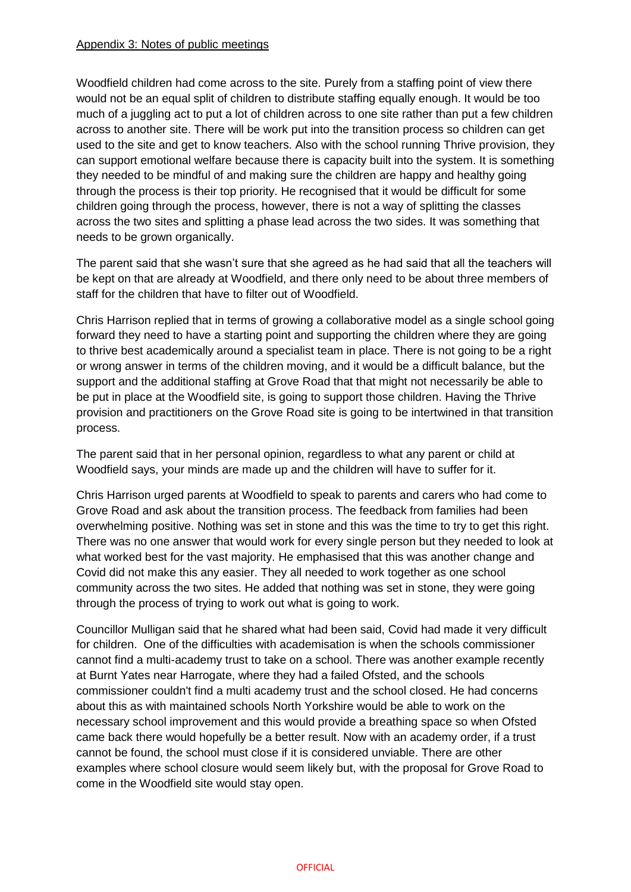Woodfield children had come across to the site. Purely from a staffing point of view there would not be an equal split of children to distribute staffing equally enough. It would be too much of a juggling act to put a lot of children across to one site rather than put a few children across to another site. There will be work put into the transition process so children can get used to the site and get to know teachers. Also with the school running Thrive provision, they can support emotional welfare because there is capacity built into the system. It is something they needed to be mindful of and making sure the children are happy and healthy going through the process is their top priority. He recognised that it would be difficult for some children going through the process, however, there is not a way of splitting the classes across the two sites and splitting a phase lead across the two sides. It was something that needs to be grown organically.

The parent said that she wasn't sure that she agreed as he had said that all the teachers will be kept on that are already at Woodfield, and there only need to be about three members of staff for the children that have to filter out of Woodfield.

Chris Harrison replied that in terms of growing a collaborative model as a single school going forward they need to have a starting point and supporting the children where they are going to thrive best academically around a specialist team in place. There is not going to be a right or wrong answer in terms of the children moving, and it would be a difficult balance, but the support and the additional staffing at Grove Road that that might not necessarily be able to be put in place at the Woodfield site, is going to support those children. Having the Thrive provision and practitioners on the Grove Road site is going to be intertwined in that transition process.

The parent said that in her personal opinion, regardless to what any parent or child at Woodfield says, your minds are made up and the children will have to suffer for it.

Chris Harrison urged parents at Woodfield to speak to parents and carers who had come to Grove Road and ask about the transition process. The feedback from families had been overwhelming positive. Nothing was set in stone and this was the time to try to get this right. There was no one answer that would work for every single person but they needed to look at what worked best for the vast majority. He emphasised that this was another change and Covid did not make this any easier. They all needed to work together as one school community across the two sites. He added that nothing was set in stone, they were going through the process of trying to work out what is going to work.

Councillor Mulligan said that he shared what had been said, Covid had made it very difficult for children. One of the difficulties with academisation is when the schools commissioner cannot find a multi-academy trust to take on a school. There was another example recently at Burnt Yates near Harrogate, where they had a failed Ofsted, and the schools commissioner couldn't find a multi academy trust and the school closed. He had concerns about this as with maintained schools North Yorkshire would be able to work on the necessary school improvement and this would provide a breathing space so when Ofsted came back there would hopefully be a better result. Now with an academy order, if a trust cannot be found, the school must close if it is considered unviable. There are other examples where school closure would seem likely but, with the proposal for Grove Road to come in the Woodfield site would stay open.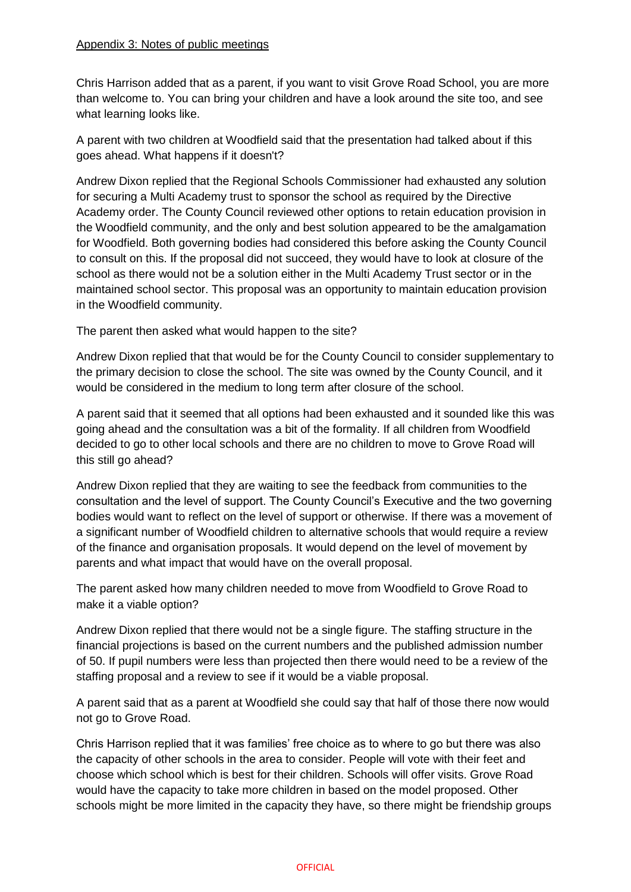Chris Harrison added that as a parent, if you want to visit Grove Road School, you are more than welcome to. You can bring your children and have a look around the site too, and see what learning looks like.

A parent with two children at Woodfield said that the presentation had talked about if this goes ahead. What happens if it doesn't?

Andrew Dixon replied that the Regional Schools Commissioner had exhausted any solution for securing a Multi Academy trust to sponsor the school as required by the Directive Academy order. The County Council reviewed other options to retain education provision in the Woodfield community, and the only and best solution appeared to be the amalgamation for Woodfield. Both governing bodies had considered this before asking the County Council to consult on this. If the proposal did not succeed, they would have to look at closure of the school as there would not be a solution either in the Multi Academy Trust sector or in the maintained school sector. This proposal was an opportunity to maintain education provision in the Woodfield community.

The parent then asked what would happen to the site?

Andrew Dixon replied that that would be for the County Council to consider supplementary to the primary decision to close the school. The site was owned by the County Council, and it would be considered in the medium to long term after closure of the school.

A parent said that it seemed that all options had been exhausted and it sounded like this was going ahead and the consultation was a bit of the formality. If all children from Woodfield decided to go to other local schools and there are no children to move to Grove Road will this still go ahead?

Andrew Dixon replied that they are waiting to see the feedback from communities to the consultation and the level of support. The County Council's Executive and the two governing bodies would want to reflect on the level of support or otherwise. If there was a movement of a significant number of Woodfield children to alternative schools that would require a review of the finance and organisation proposals. It would depend on the level of movement by parents and what impact that would have on the overall proposal.

The parent asked how many children needed to move from Woodfield to Grove Road to make it a viable option?

Andrew Dixon replied that there would not be a single figure. The staffing structure in the financial projections is based on the current numbers and the published admission number of 50. If pupil numbers were less than projected then there would need to be a review of the staffing proposal and a review to see if it would be a viable proposal.

A parent said that as a parent at Woodfield she could say that half of those there now would not go to Grove Road.

Chris Harrison replied that it was families' free choice as to where to go but there was also the capacity of other schools in the area to consider. People will vote with their feet and choose which school which is best for their children. Schools will offer visits. Grove Road would have the capacity to take more children in based on the model proposed. Other schools might be more limited in the capacity they have, so there might be friendship groups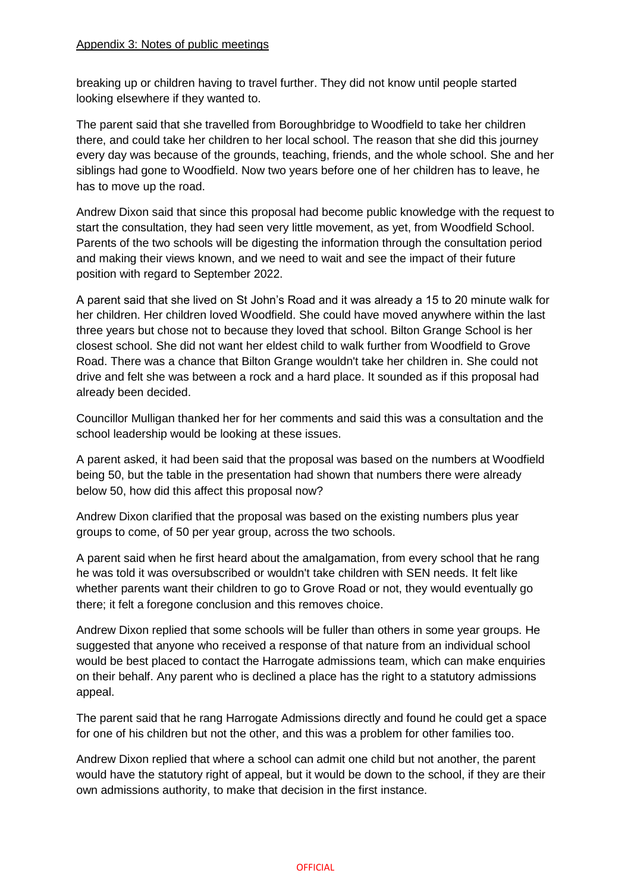breaking up or children having to travel further. They did not know until people started looking elsewhere if they wanted to.

The parent said that she travelled from Boroughbridge to Woodfield to take her children there, and could take her children to her local school. The reason that she did this journey every day was because of the grounds, teaching, friends, and the whole school. She and her siblings had gone to Woodfield. Now two years before one of her children has to leave, he has to move up the road.

Andrew Dixon said that since this proposal had become public knowledge with the request to start the consultation, they had seen very little movement, as yet, from Woodfield School. Parents of the two schools will be digesting the information through the consultation period and making their views known, and we need to wait and see the impact of their future position with regard to September 2022.

A parent said that she lived on St John's Road and it was already a 15 to 20 minute walk for her children. Her children loved Woodfield. She could have moved anywhere within the last three years but chose not to because they loved that school. Bilton Grange School is her closest school. She did not want her eldest child to walk further from Woodfield to Grove Road. There was a chance that Bilton Grange wouldn't take her children in. She could not drive and felt she was between a rock and a hard place. It sounded as if this proposal had already been decided.

Councillor Mulligan thanked her for her comments and said this was a consultation and the school leadership would be looking at these issues.

A parent asked, it had been said that the proposal was based on the numbers at Woodfield being 50, but the table in the presentation had shown that numbers there were already below 50, how did this affect this proposal now?

Andrew Dixon clarified that the proposal was based on the existing numbers plus year groups to come, of 50 per year group, across the two schools.

A parent said when he first heard about the amalgamation, from every school that he rang he was told it was oversubscribed or wouldn't take children with SEN needs. It felt like whether parents want their children to go to Grove Road or not, they would eventually go there; it felt a foregone conclusion and this removes choice.

Andrew Dixon replied that some schools will be fuller than others in some year groups. He suggested that anyone who received a response of that nature from an individual school would be best placed to contact the Harrogate admissions team, which can make enquiries on their behalf. Any parent who is declined a place has the right to a statutory admissions appeal.

The parent said that he rang Harrogate Admissions directly and found he could get a space for one of his children but not the other, and this was a problem for other families too.

Andrew Dixon replied that where a school can admit one child but not another, the parent would have the statutory right of appeal, but it would be down to the school, if they are their own admissions authority, to make that decision in the first instance.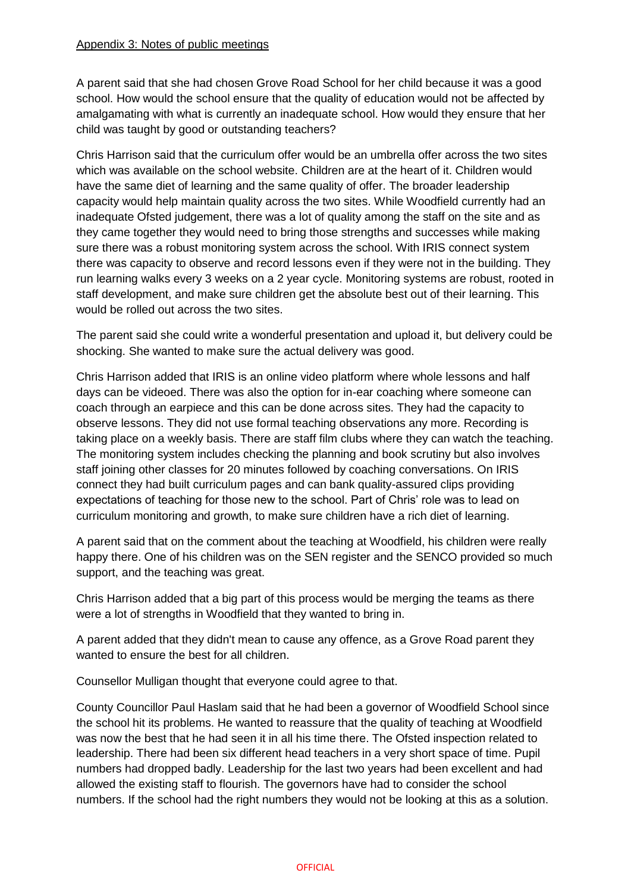A parent said that she had chosen Grove Road School for her child because it was a good school. How would the school ensure that the quality of education would not be affected by amalgamating with what is currently an inadequate school. How would they ensure that her child was taught by good or outstanding teachers?

Chris Harrison said that the curriculum offer would be an umbrella offer across the two sites which was available on the school website. Children are at the heart of it. Children would have the same diet of learning and the same quality of offer. The broader leadership capacity would help maintain quality across the two sites. While Woodfield currently had an inadequate Ofsted judgement, there was a lot of quality among the staff on the site and as they came together they would need to bring those strengths and successes while making sure there was a robust monitoring system across the school. With IRIS connect system there was capacity to observe and record lessons even if they were not in the building. They run learning walks every 3 weeks on a 2 year cycle. Monitoring systems are robust, rooted in staff development, and make sure children get the absolute best out of their learning. This would be rolled out across the two sites.

The parent said she could write a wonderful presentation and upload it, but delivery could be shocking. She wanted to make sure the actual delivery was good.

Chris Harrison added that IRIS is an online video platform where whole lessons and half days can be videoed. There was also the option for in-ear coaching where someone can coach through an earpiece and this can be done across sites. They had the capacity to observe lessons. They did not use formal teaching observations any more. Recording is taking place on a weekly basis. There are staff film clubs where they can watch the teaching. The monitoring system includes checking the planning and book scrutiny but also involves staff joining other classes for 20 minutes followed by coaching conversations. On IRIS connect they had built curriculum pages and can bank quality-assured clips providing expectations of teaching for those new to the school. Part of Chris' role was to lead on curriculum monitoring and growth, to make sure children have a rich diet of learning.

A parent said that on the comment about the teaching at Woodfield, his children were really happy there. One of his children was on the SEN register and the SENCO provided so much support, and the teaching was great.

Chris Harrison added that a big part of this process would be merging the teams as there were a lot of strengths in Woodfield that they wanted to bring in.

A parent added that they didn't mean to cause any offence, as a Grove Road parent they wanted to ensure the best for all children.

Counsellor Mulligan thought that everyone could agree to that.

County Councillor Paul Haslam said that he had been a governor of Woodfield School since the school hit its problems. He wanted to reassure that the quality of teaching at Woodfield was now the best that he had seen it in all his time there. The Ofsted inspection related to leadership. There had been six different head teachers in a very short space of time. Pupil numbers had dropped badly. Leadership for the last two years had been excellent and had allowed the existing staff to flourish. The governors have had to consider the school numbers. If the school had the right numbers they would not be looking at this as a solution.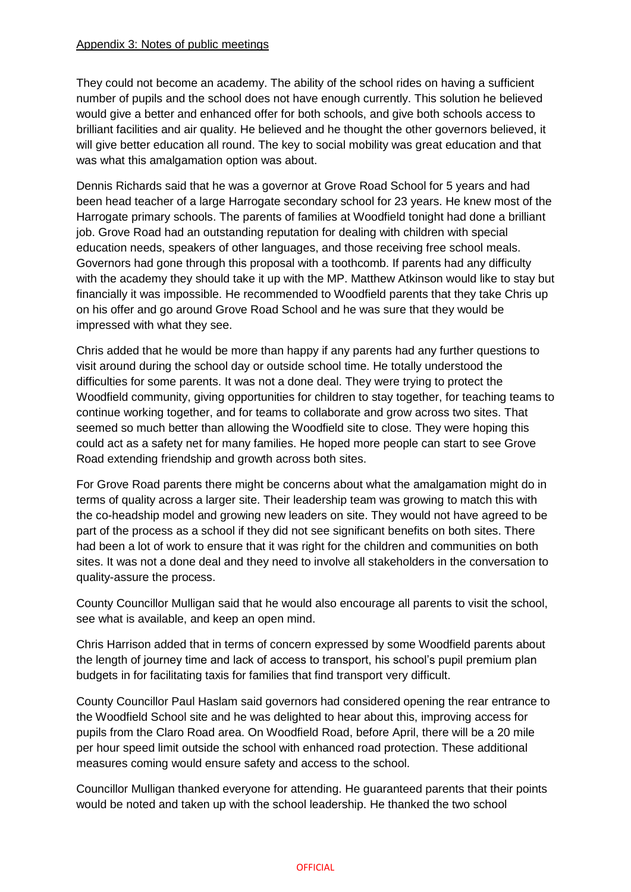They could not become an academy. The ability of the school rides on having a sufficient number of pupils and the school does not have enough currently. This solution he believed would give a better and enhanced offer for both schools, and give both schools access to brilliant facilities and air quality. He believed and he thought the other governors believed, it will give better education all round. The key to social mobility was great education and that was what this amalgamation option was about.

Dennis Richards said that he was a governor at Grove Road School for 5 years and had been head teacher of a large Harrogate secondary school for 23 years. He knew most of the Harrogate primary schools. The parents of families at Woodfield tonight had done a brilliant job. Grove Road had an outstanding reputation for dealing with children with special education needs, speakers of other languages, and those receiving free school meals. Governors had gone through this proposal with a toothcomb. If parents had any difficulty with the academy they should take it up with the MP. Matthew Atkinson would like to stay but financially it was impossible. He recommended to Woodfield parents that they take Chris up on his offer and go around Grove Road School and he was sure that they would be impressed with what they see.

Chris added that he would be more than happy if any parents had any further questions to visit around during the school day or outside school time. He totally understood the difficulties for some parents. It was not a done deal. They were trying to protect the Woodfield community, giving opportunities for children to stay together, for teaching teams to continue working together, and for teams to collaborate and grow across two sites. That seemed so much better than allowing the Woodfield site to close. They were hoping this could act as a safety net for many families. He hoped more people can start to see Grove Road extending friendship and growth across both sites.

For Grove Road parents there might be concerns about what the amalgamation might do in terms of quality across a larger site. Their leadership team was growing to match this with the co-headship model and growing new leaders on site. They would not have agreed to be part of the process as a school if they did not see significant benefits on both sites. There had been a lot of work to ensure that it was right for the children and communities on both sites. It was not a done deal and they need to involve all stakeholders in the conversation to quality-assure the process.

County Councillor Mulligan said that he would also encourage all parents to visit the school, see what is available, and keep an open mind.

Chris Harrison added that in terms of concern expressed by some Woodfield parents about the length of journey time and lack of access to transport, his school's pupil premium plan budgets in for facilitating taxis for families that find transport very difficult.

County Councillor Paul Haslam said governors had considered opening the rear entrance to the Woodfield School site and he was delighted to hear about this, improving access for pupils from the Claro Road area. On Woodfield Road, before April, there will be a 20 mile per hour speed limit outside the school with enhanced road protection. These additional measures coming would ensure safety and access to the school.

Councillor Mulligan thanked everyone for attending. He guaranteed parents that their points would be noted and taken up with the school leadership. He thanked the two school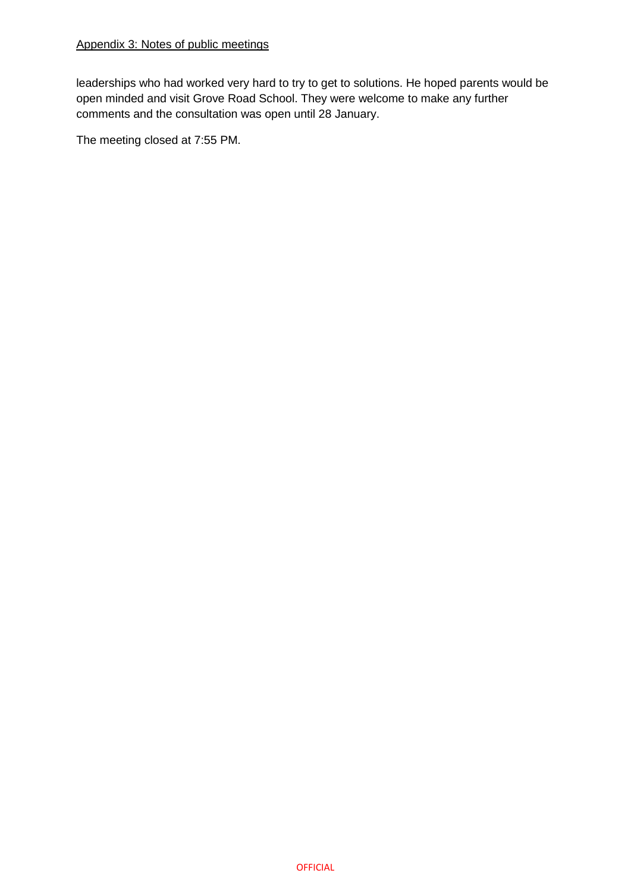leaderships who had worked very hard to try to get to solutions. He hoped parents would be open minded and visit Grove Road School. They were welcome to make any further comments and the consultation was open until 28 January.

The meeting closed at 7:55 PM.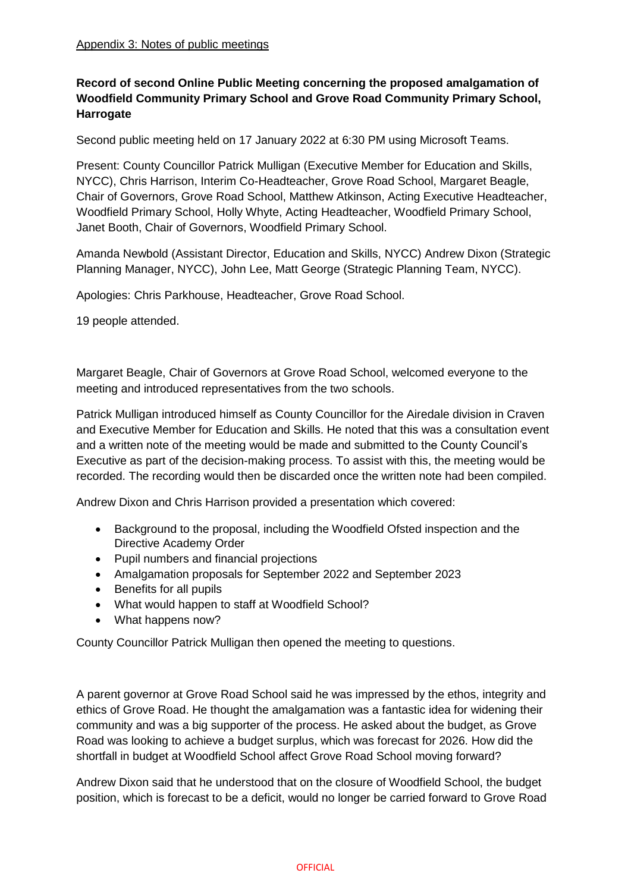# **Record of second Online Public Meeting concerning the proposed amalgamation of Woodfield Community Primary School and Grove Road Community Primary School, Harrogate**

Second public meeting held on 17 January 2022 at 6:30 PM using Microsoft Teams.

Present: County Councillor Patrick Mulligan (Executive Member for Education and Skills, NYCC), Chris Harrison, Interim Co-Headteacher, Grove Road School, Margaret Beagle, Chair of Governors, Grove Road School, Matthew Atkinson, Acting Executive Headteacher, Woodfield Primary School, Holly Whyte, Acting Headteacher, Woodfield Primary School, Janet Booth, Chair of Governors, Woodfield Primary School.

Amanda Newbold (Assistant Director, Education and Skills, NYCC) Andrew Dixon (Strategic Planning Manager, NYCC), John Lee, Matt George (Strategic Planning Team, NYCC).

Apologies: Chris Parkhouse, Headteacher, Grove Road School.

19 people attended.

Margaret Beagle, Chair of Governors at Grove Road School, welcomed everyone to the meeting and introduced representatives from the two schools.

Patrick Mulligan introduced himself as County Councillor for the Airedale division in Craven and Executive Member for Education and Skills. He noted that this was a consultation event and a written note of the meeting would be made and submitted to the County Council's Executive as part of the decision-making process. To assist with this, the meeting would be recorded. The recording would then be discarded once the written note had been compiled.

Andrew Dixon and Chris Harrison provided a presentation which covered:

- Background to the proposal, including the Woodfield Ofsted inspection and the Directive Academy Order
- Pupil numbers and financial projections
- Amalgamation proposals for September 2022 and September 2023
- Benefits for all pupils
- What would happen to staff at Woodfield School?
- What happens now?

County Councillor Patrick Mulligan then opened the meeting to questions.

A parent governor at Grove Road School said he was impressed by the ethos, integrity and ethics of Grove Road. He thought the amalgamation was a fantastic idea for widening their community and was a big supporter of the process. He asked about the budget, as Grove Road was looking to achieve a budget surplus, which was forecast for 2026. How did the shortfall in budget at Woodfield School affect Grove Road School moving forward?

Andrew Dixon said that he understood that on the closure of Woodfield School, the budget position, which is forecast to be a deficit, would no longer be carried forward to Grove Road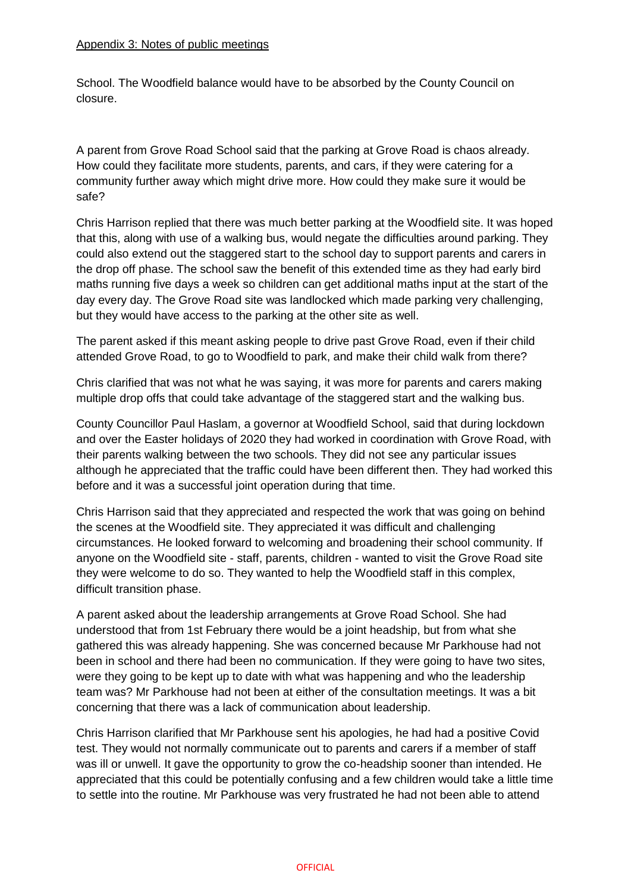School. The Woodfield balance would have to be absorbed by the County Council on closure.

A parent from Grove Road School said that the parking at Grove Road is chaos already. How could they facilitate more students, parents, and cars, if they were catering for a community further away which might drive more. How could they make sure it would be safe?

Chris Harrison replied that there was much better parking at the Woodfield site. It was hoped that this, along with use of a walking bus, would negate the difficulties around parking. They could also extend out the staggered start to the school day to support parents and carers in the drop off phase. The school saw the benefit of this extended time as they had early bird maths running five days a week so children can get additional maths input at the start of the day every day. The Grove Road site was landlocked which made parking very challenging, but they would have access to the parking at the other site as well.

The parent asked if this meant asking people to drive past Grove Road, even if their child attended Grove Road, to go to Woodfield to park, and make their child walk from there?

Chris clarified that was not what he was saying, it was more for parents and carers making multiple drop offs that could take advantage of the staggered start and the walking bus.

County Councillor Paul Haslam, a governor at Woodfield School, said that during lockdown and over the Easter holidays of 2020 they had worked in coordination with Grove Road, with their parents walking between the two schools. They did not see any particular issues although he appreciated that the traffic could have been different then. They had worked this before and it was a successful joint operation during that time.

Chris Harrison said that they appreciated and respected the work that was going on behind the scenes at the Woodfield site. They appreciated it was difficult and challenging circumstances. He looked forward to welcoming and broadening their school community. If anyone on the Woodfield site - staff, parents, children - wanted to visit the Grove Road site they were welcome to do so. They wanted to help the Woodfield staff in this complex, difficult transition phase.

A parent asked about the leadership arrangements at Grove Road School. She had understood that from 1st February there would be a joint headship, but from what she gathered this was already happening. She was concerned because Mr Parkhouse had not been in school and there had been no communication. If they were going to have two sites, were they going to be kept up to date with what was happening and who the leadership team was? Mr Parkhouse had not been at either of the consultation meetings. It was a bit concerning that there was a lack of communication about leadership.

Chris Harrison clarified that Mr Parkhouse sent his apologies, he had had a positive Covid test. They would not normally communicate out to parents and carers if a member of staff was ill or unwell. It gave the opportunity to grow the co-headship sooner than intended. He appreciated that this could be potentially confusing and a few children would take a little time to settle into the routine. Mr Parkhouse was very frustrated he had not been able to attend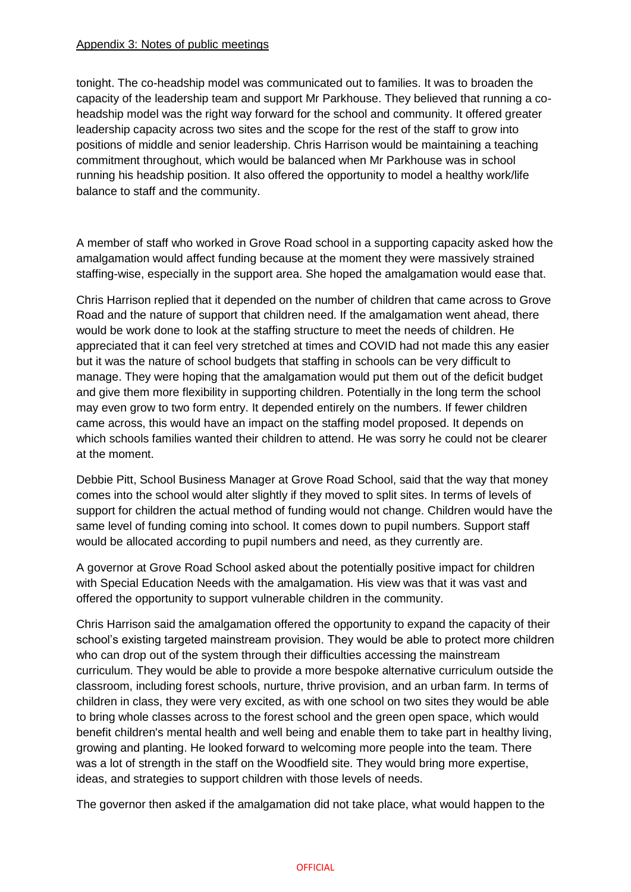tonight. The co-headship model was communicated out to families. It was to broaden the capacity of the leadership team and support Mr Parkhouse. They believed that running a coheadship model was the right way forward for the school and community. It offered greater leadership capacity across two sites and the scope for the rest of the staff to grow into positions of middle and senior leadership. Chris Harrison would be maintaining a teaching commitment throughout, which would be balanced when Mr Parkhouse was in school running his headship position. It also offered the opportunity to model a healthy work/life balance to staff and the community.

A member of staff who worked in Grove Road school in a supporting capacity asked how the amalgamation would affect funding because at the moment they were massively strained staffing-wise, especially in the support area. She hoped the amalgamation would ease that.

Chris Harrison replied that it depended on the number of children that came across to Grove Road and the nature of support that children need. If the amalgamation went ahead, there would be work done to look at the staffing structure to meet the needs of children. He appreciated that it can feel very stretched at times and COVID had not made this any easier but it was the nature of school budgets that staffing in schools can be very difficult to manage. They were hoping that the amalgamation would put them out of the deficit budget and give them more flexibility in supporting children. Potentially in the long term the school may even grow to two form entry. It depended entirely on the numbers. If fewer children came across, this would have an impact on the staffing model proposed. It depends on which schools families wanted their children to attend. He was sorry he could not be clearer at the moment.

Debbie Pitt, School Business Manager at Grove Road School, said that the way that money comes into the school would alter slightly if they moved to split sites. In terms of levels of support for children the actual method of funding would not change. Children would have the same level of funding coming into school. It comes down to pupil numbers. Support staff would be allocated according to pupil numbers and need, as they currently are.

A governor at Grove Road School asked about the potentially positive impact for children with Special Education Needs with the amalgamation. His view was that it was vast and offered the opportunity to support vulnerable children in the community.

Chris Harrison said the amalgamation offered the opportunity to expand the capacity of their school's existing targeted mainstream provision. They would be able to protect more children who can drop out of the system through their difficulties accessing the mainstream curriculum. They would be able to provide a more bespoke alternative curriculum outside the classroom, including forest schools, nurture, thrive provision, and an urban farm. In terms of children in class, they were very excited, as with one school on two sites they would be able to bring whole classes across to the forest school and the green open space, which would benefit children's mental health and well being and enable them to take part in healthy living, growing and planting. He looked forward to welcoming more people into the team. There was a lot of strength in the staff on the Woodfield site. They would bring more expertise, ideas, and strategies to support children with those levels of needs.

The governor then asked if the amalgamation did not take place, what would happen to the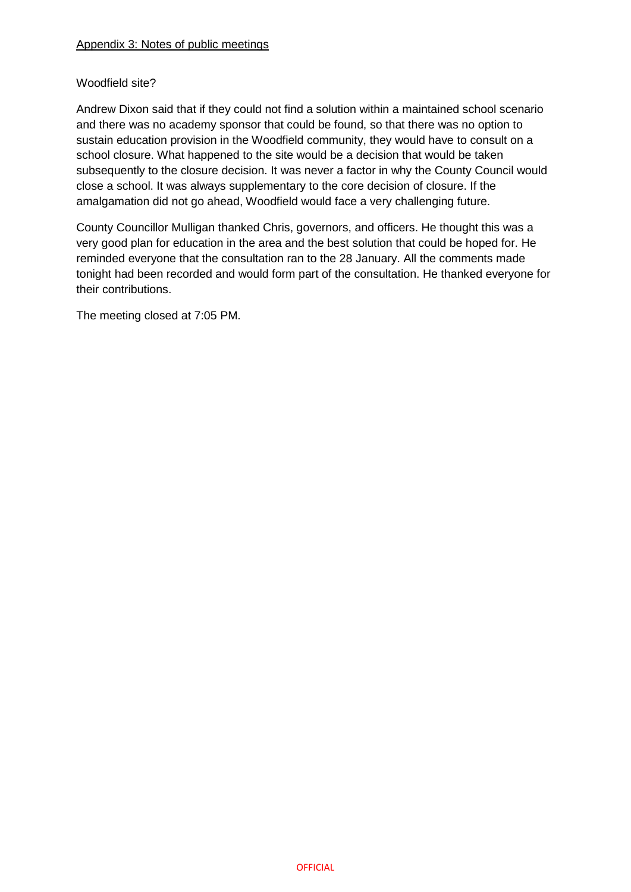## Woodfield site?

Andrew Dixon said that if they could not find a solution within a maintained school scenario and there was no academy sponsor that could be found, so that there was no option to sustain education provision in the Woodfield community, they would have to consult on a school closure. What happened to the site would be a decision that would be taken subsequently to the closure decision. It was never a factor in why the County Council would close a school. It was always supplementary to the core decision of closure. If the amalgamation did not go ahead, Woodfield would face a very challenging future.

County Councillor Mulligan thanked Chris, governors, and officers. He thought this was a very good plan for education in the area and the best solution that could be hoped for. He reminded everyone that the consultation ran to the 28 January. All the comments made tonight had been recorded and would form part of the consultation. He thanked everyone for their contributions.

The meeting closed at 7:05 PM.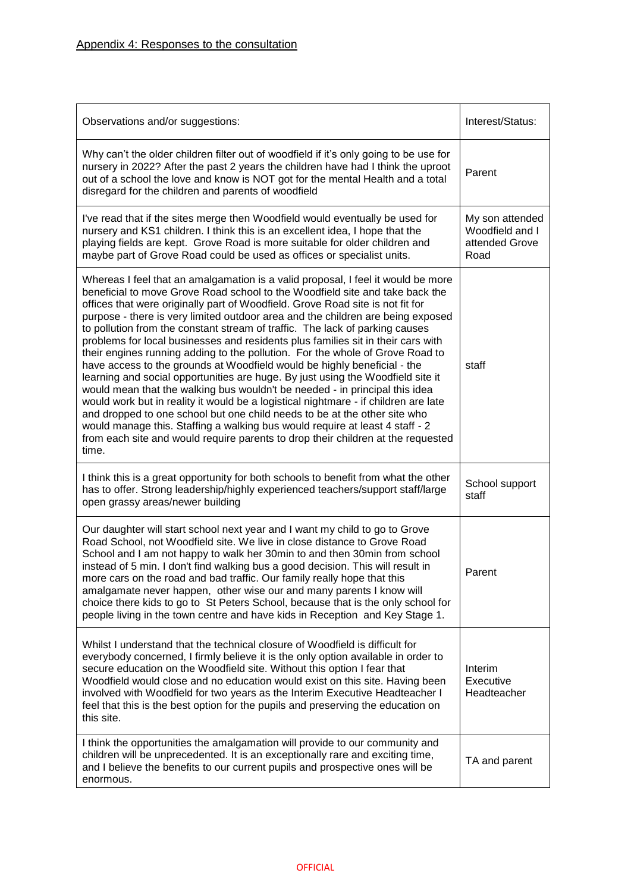| Observations and/or suggestions:                                                                                                                                                                                                                                                                                                                                                                                                                                                                                                                                                                                                                                                                                                                                                                                                                                                                                                                                                                                                                                                                                                                                                          | Interest/Status:                                             |
|-------------------------------------------------------------------------------------------------------------------------------------------------------------------------------------------------------------------------------------------------------------------------------------------------------------------------------------------------------------------------------------------------------------------------------------------------------------------------------------------------------------------------------------------------------------------------------------------------------------------------------------------------------------------------------------------------------------------------------------------------------------------------------------------------------------------------------------------------------------------------------------------------------------------------------------------------------------------------------------------------------------------------------------------------------------------------------------------------------------------------------------------------------------------------------------------|--------------------------------------------------------------|
| Why can't the older children filter out of woodfield if it's only going to be use for<br>nursery in 2022? After the past 2 years the children have had I think the uproot<br>out of a school the love and know is NOT got for the mental Health and a total<br>disregard for the children and parents of woodfield                                                                                                                                                                                                                                                                                                                                                                                                                                                                                                                                                                                                                                                                                                                                                                                                                                                                        | Parent                                                       |
| I've read that if the sites merge then Woodfield would eventually be used for<br>nursery and KS1 children. I think this is an excellent idea, I hope that the<br>playing fields are kept. Grove Road is more suitable for older children and<br>maybe part of Grove Road could be used as offices or specialist units.                                                                                                                                                                                                                                                                                                                                                                                                                                                                                                                                                                                                                                                                                                                                                                                                                                                                    | My son attended<br>Woodfield and I<br>attended Grove<br>Road |
| Whereas I feel that an amalgamation is a valid proposal, I feel it would be more<br>beneficial to move Grove Road school to the Woodfield site and take back the<br>offices that were originally part of Woodfield. Grove Road site is not fit for<br>purpose - there is very limited outdoor area and the children are being exposed<br>to pollution from the constant stream of traffic. The lack of parking causes<br>problems for local businesses and residents plus families sit in their cars with<br>their engines running adding to the pollution. For the whole of Grove Road to<br>have access to the grounds at Woodfield would be highly beneficial - the<br>learning and social opportunities are huge. By just using the Woodfield site it<br>would mean that the walking bus wouldn't be needed - in principal this idea<br>would work but in reality it would be a logistical nightmare - if children are late<br>and dropped to one school but one child needs to be at the other site who<br>would manage this. Staffing a walking bus would require at least 4 staff - 2<br>from each site and would require parents to drop their children at the requested<br>time. | staff                                                        |
| I think this is a great opportunity for both schools to benefit from what the other<br>has to offer. Strong leadership/highly experienced teachers/support staff/large<br>open grassy areas/newer building                                                                                                                                                                                                                                                                                                                                                                                                                                                                                                                                                                                                                                                                                                                                                                                                                                                                                                                                                                                | School support<br>staff                                      |
| Our daughter will start school next year and I want my child to go to Grove<br>Road School, not Woodfield site. We live in close distance to Grove Road<br>School and I am not happy to walk her 30min to and then 30min from school<br>instead of 5 min. I don't find walking bus a good decision. This will result in<br>more cars on the road and bad traffic. Our family really hope that this<br>amalgamate never happen, other wise our and many parents I know will<br>choice there kids to go to St Peters School, because that is the only school for<br>people living in the town centre and have kids in Reception and Key Stage 1.                                                                                                                                                                                                                                                                                                                                                                                                                                                                                                                                            | Parent                                                       |
| Whilst I understand that the technical closure of Woodfield is difficult for<br>everybody concerned, I firmly believe it is the only option available in order to<br>secure education on the Woodfield site. Without this option I fear that<br>Woodfield would close and no education would exist on this site. Having been<br>involved with Woodfield for two years as the Interim Executive Headteacher I<br>feel that this is the best option for the pupils and preserving the education on<br>this site.                                                                                                                                                                                                                                                                                                                                                                                                                                                                                                                                                                                                                                                                            | Interim<br>Executive<br>Headteacher                          |
| I think the opportunities the amalgamation will provide to our community and<br>children will be unprecedented. It is an exceptionally rare and exciting time,<br>and I believe the benefits to our current pupils and prospective ones will be<br>enormous.                                                                                                                                                                                                                                                                                                                                                                                                                                                                                                                                                                                                                                                                                                                                                                                                                                                                                                                              | TA and parent                                                |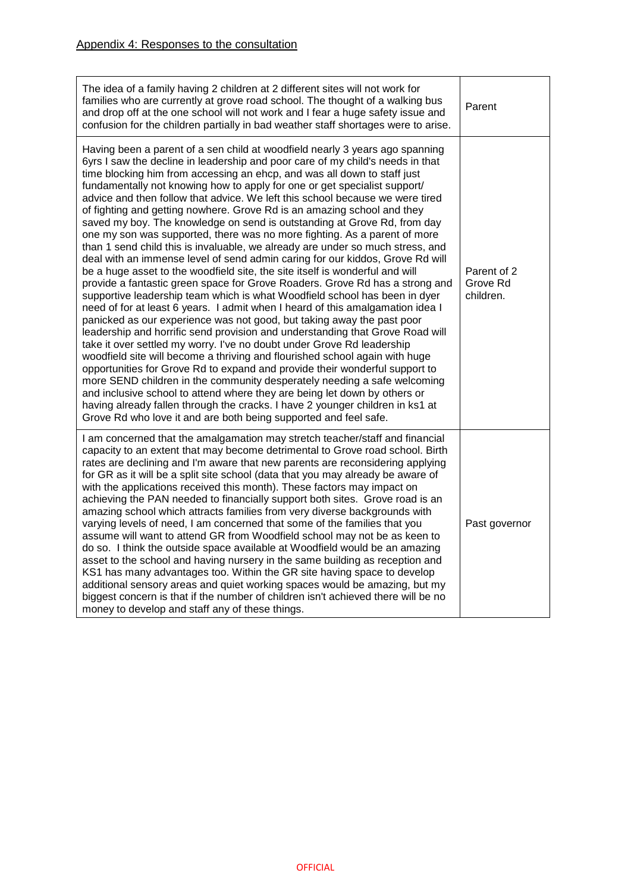| The idea of a family having 2 children at 2 different sites will not work for<br>families who are currently at grove road school. The thought of a walking bus<br>and drop off at the one school will not work and I fear a huge safety issue and<br>confusion for the children partially in bad weather staff shortages were to arise.                                                                                                                                                                                                                                                                                                                                                                                                                                                                                                                                                                                                                                                                                                                                                                                                                                                                                                                                                                                                                                                                                                                                                                                                                                                                                                                                                                                                                                                                                                                          | Parent                               |
|------------------------------------------------------------------------------------------------------------------------------------------------------------------------------------------------------------------------------------------------------------------------------------------------------------------------------------------------------------------------------------------------------------------------------------------------------------------------------------------------------------------------------------------------------------------------------------------------------------------------------------------------------------------------------------------------------------------------------------------------------------------------------------------------------------------------------------------------------------------------------------------------------------------------------------------------------------------------------------------------------------------------------------------------------------------------------------------------------------------------------------------------------------------------------------------------------------------------------------------------------------------------------------------------------------------------------------------------------------------------------------------------------------------------------------------------------------------------------------------------------------------------------------------------------------------------------------------------------------------------------------------------------------------------------------------------------------------------------------------------------------------------------------------------------------------------------------------------------------------|--------------------------------------|
| Having been a parent of a sen child at woodfield nearly 3 years ago spanning<br>6yrs I saw the decline in leadership and poor care of my child's needs in that<br>time blocking him from accessing an ehcp, and was all down to staff just<br>fundamentally not knowing how to apply for one or get specialist support/<br>advice and then follow that advice. We left this school because we were tired<br>of fighting and getting nowhere. Grove Rd is an amazing school and they<br>saved my boy. The knowledge on send is outstanding at Grove Rd, from day<br>one my son was supported, there was no more fighting. As a parent of more<br>than 1 send child this is invaluable, we already are under so much stress, and<br>deal with an immense level of send admin caring for our kiddos, Grove Rd will<br>be a huge asset to the woodfield site, the site itself is wonderful and will<br>provide a fantastic green space for Grove Roaders. Grove Rd has a strong and<br>supportive leadership team which is what Woodfield school has been in dyer<br>need of for at least 6 years. I admit when I heard of this amalgamation idea I<br>panicked as our experience was not good, but taking away the past poor<br>leadership and horrific send provision and understanding that Grove Road will<br>take it over settled my worry. I've no doubt under Grove Rd leadership<br>woodfield site will become a thriving and flourished school again with huge<br>opportunities for Grove Rd to expand and provide their wonderful support to<br>more SEND children in the community desperately needing a safe welcoming<br>and inclusive school to attend where they are being let down by others or<br>having already fallen through the cracks. I have 2 younger children in ks1 at<br>Grove Rd who love it and are both being supported and feel safe. | Parent of 2<br>Grove Rd<br>children. |
| I am concerned that the amalgamation may stretch teacher/staff and financial<br>capacity to an extent that may become detrimental to Grove road school. Birth<br>rates are declining and I'm aware that new parents are reconsidering applying<br>for GR as it will be a split site school (data that you may already be aware of<br>with the applications received this month). These factors may impact on<br>achieving the PAN needed to financially support both sites. Grove road is an<br>amazing school which attracts families from very diverse backgrounds with<br>varying levels of need, I am concerned that some of the families that you<br>assume will want to attend GR from Woodfield school may not be as keen to<br>do so. I think the outside space available at Woodfield would be an amazing<br>asset to the school and having nursery in the same building as reception and<br>KS1 has many advantages too. Within the GR site having space to develop<br>additional sensory areas and quiet working spaces would be amazing, but my<br>biggest concern is that if the number of children isn't achieved there will be no<br>money to develop and staff any of these things.                                                                                                                                                                                                                                                                                                                                                                                                                                                                                                                                                                                                                                                              | Past governor                        |